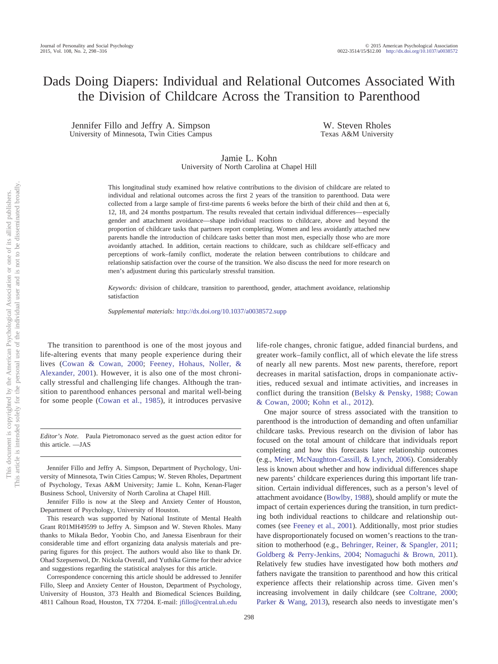# Dads Doing Diapers: Individual and Relational Outcomes Associated With the Division of Childcare Across the Transition to Parenthood

Jennifer Fillo and Jeffry A. Simpson University of Minnesota, Twin Cities Campus

W. Steven Rholes Texas A&M University

# Jamie L. Kohn University of North Carolina at Chapel Hill

This longitudinal study examined how relative contributions to the division of childcare are related to individual and relational outcomes across the first 2 years of the transition to parenthood. Data were collected from a large sample of first-time parents 6 weeks before the birth of their child and then at 6, 12, 18, and 24 months postpartum. The results revealed that certain individual differences— especially gender and attachment avoidance—shape individual reactions to childcare, above and beyond the proportion of childcare tasks that partners report completing. Women and less avoidantly attached new parents handle the introduction of childcare tasks better than most men, especially those who are more avoidantly attached. In addition, certain reactions to childcare, such as childcare self-efficacy and perceptions of work–family conflict, moderate the relation between contributions to childcare and relationship satisfaction over the course of the transition. We also discuss the need for more research on men's adjustment during this particularly stressful transition.

*Keywords:* division of childcare, transition to parenthood, gender, attachment avoidance, relationship satisfaction

*Supplemental materials:* http://dx.doi.org[/10.1037/a0038572.supp](http://dx.doi.org/10.1037/a0038572.supp)

The transition to parenthood is one of the most joyous and life-altering events that many people experience during their lives [\(Cowan & Cowan, 2000;](#page-17-0) [Feeney, Hohaus, Noller, &](#page-17-1) [Alexander, 2001\)](#page-17-1). However, it is also one of the most chronically stressful and challenging life changes. Although the transition to parenthood enhances personal and marital well-being for some people [\(Cowan et al., 1985\)](#page-17-2), it introduces pervasive

*Editor's Note.* Paula Pietromonaco served as the guest action editor for this article. —JAS

Jennifer Fillo and Jeffry A. Simpson, Department of Psychology, University of Minnesota, Twin Cities Campus; W. Steven Rholes, Department of Psychology, Texas A&M University; Jamie L. Kohn, Kenan-Flager Business School, University of North Carolina at Chapel Hill.

Jennifer Fillo is now at the Sleep and Anxiety Center of Houston, Department of Psychology, University of Houston.

This research was supported by National Institute of Mental Health Grant R01MH49599 to Jeffry A. Simpson and W. Steven Rholes. Many thanks to Mikala Bedor, Yoobin Cho, and Janessa Eisenbraun for their considerable time and effort organizing data analysis materials and preparing figures for this project. The authors would also like to thank Dr. Ohad Szepsenwol, Dr. Nickola Overall, and Yuthika Girme for their advice and suggestions regarding the statistical analyses for this article.

Correspondence concerning this article should be addressed to Jennifer Fillo, Sleep and Anxiety Center of Houston, Department of Psychology, University of Houston, 373 Health and Biomedical Sciences Building, 4811 Calhoun Road, Houston, TX 77204. E-mail: [jfillo@central.uh.edu](mailto:jfillo@central.uh.edu)

life-role changes, chronic fatigue, added financial burdens, and greater work–family conflict, all of which elevate the life stress of nearly all new parents. Most new parents, therefore, report decreases in marital satisfaction, drops in companionate activities, reduced sexual and intimate activities, and increases in conflict during the transition [\(Belsky & Pensky, 1988;](#page-16-0) [Cowan](#page-17-0) [& Cowan, 2000;](#page-17-0) [Kohn et al., 2012\)](#page-17-3).

One major source of stress associated with the transition to parenthood is the introduction of demanding and often unfamiliar childcare tasks. Previous research on the division of labor has focused on the total amount of childcare that individuals report completing and how this forecasts later relationship outcomes (e.g., [Meier, McNaughton-Cassill, & Lynch, 2006\)](#page-17-4). Considerably less is known about whether and how individual differences shape new parents' childcare experiences during this important life transition. Certain individual differences, such as a person's level of attachment avoidance [\(Bowlby, 1988\)](#page-16-1), should amplify or mute the impact of certain experiences during the transition, in turn predicting both individual reactions to childcare and relationship outcomes (see [Feeney et al., 2001\)](#page-17-1). Additionally, most prior studies have disproportionately focused on women's reactions to the transition to motherhood (e.g., [Behringer, Reiner, & Spangler, 2011;](#page-16-2) [Goldberg & Perry-Jenkins, 2004;](#page-17-5) [Nomaguchi & Brown, 2011\)](#page-17-6). Relatively few studies have investigated how both mothers *and* fathers navigate the transition to parenthood and how this critical experience affects their relationship across time. Given men's increasing involvement in daily childcare (see [Coltrane, 2000;](#page-16-3) [Parker & Wang, 2013\)](#page-17-7), research also needs to investigate men's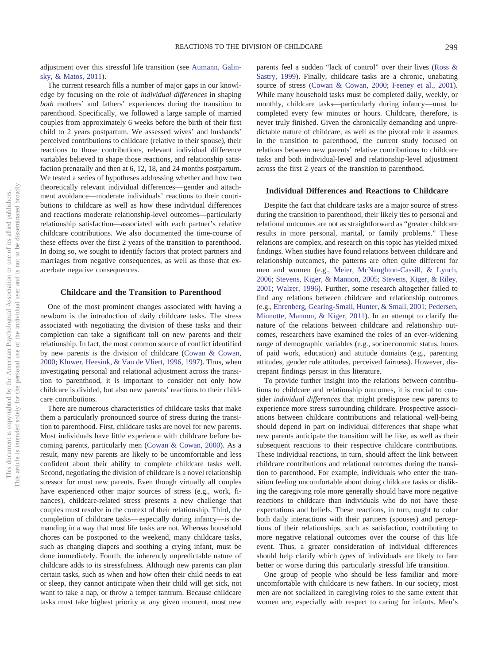adjustment over this stressful life transition (see [Aumann, Galin](#page-16-4)[sky, & Matos, 2011\)](#page-16-4).

The current research fills a number of major gaps in our knowledge by focusing on the role of *individual differences* in shaping *both* mothers' and fathers' experiences during the transition to parenthood. Specifically, we followed a large sample of married couples from approximately 6 weeks before the birth of their first child to 2 years postpartum. We assessed wives' and husbands' perceived contributions to childcare (relative to their spouse), their reactions to those contributions, relevant individual difference variables believed to shape those reactions, and relationship satisfaction prenatally and then at 6, 12, 18, and 24 months postpartum. We tested a series of hypotheses addressing whether and how two theoretically relevant individual differences— gender and attachment avoidance—moderate individuals' reactions to their contributions to childcare as well as how these individual differences and reactions moderate relationship-level outcomes—particularly relationship satisfaction—associated with each partner's relative childcare contributions. We also documented the time-course of these effects over the first 2 years of the transition to parenthood. In doing so, we sought to identify factors that protect partners and marriages from negative consequences, as well as those that exacerbate negative consequences.

## **Childcare and the Transition to Parenthood**

One of the most prominent changes associated with having a newborn is the introduction of daily childcare tasks. The stress associated with negotiating the division of these tasks and their completion can take a significant toll on new parents and their relationship. In fact, the most common source of conflict identified by new parents is the division of childcare [\(Cowan & Cowan,](#page-17-0) [2000;](#page-17-0) [Kluwer, Heesink, & Van de Vliert, 1996,](#page-17-8) [1997\)](#page-17-9). Thus, when investigating personal and relational adjustment across the transition to parenthood, it is important to consider not only how childcare is divided, but also new parents' reactions to their childcare contributions.

There are numerous characteristics of childcare tasks that make them a particularly pronounced source of stress during the transition to parenthood. First, childcare tasks are novel for new parents. Most individuals have little experience with childcare before becoming parents, particularly men [\(Cowan & Cowan, 2000\)](#page-17-0). As a result, many new parents are likely to be uncomfortable and less confident about their ability to complete childcare tasks well. Second, negotiating the division of childcare is a novel relationship stressor for most new parents. Even though virtually all couples have experienced other major sources of stress (e.g., work, finances), childcare-related stress presents a new challenge that couples must resolve in the context of their relationship. Third, the completion of childcare tasks— especially during infancy—is demanding in a way that most life tasks are not. Whereas household chores can be postponed to the weekend, many childcare tasks, such as changing diapers and soothing a crying infant, must be done immediately. Fourth, the inherently unpredictable nature of childcare adds to its stressfulness. Although new parents can plan certain tasks, such as when and how often their child needs to eat or sleep, they cannot anticipate when their child will get sick, not want to take a nap, or throw a temper tantrum. Because childcare tasks must take highest priority at any given moment, most new

parents feel a sudden "lack of control" over their lives [\(Ross &](#page-18-0) [Sastry, 1999\)](#page-18-0). Finally, childcare tasks are a chronic, unabating source of stress [\(Cowan & Cowan, 2000;](#page-17-0) [Feeney et al., 2001\)](#page-17-1). While many household tasks must be completed daily, weekly, or monthly, childcare tasks—particularly during infancy—must be completed every few minutes or hours. Childcare, therefore, is never truly finished. Given the chronically demanding and unpredictable nature of childcare, as well as the pivotal role it assumes in the transition to parenthood, the current study focused on relations between new parents' relative contributions to childcare tasks and both individual-level and relationship-level adjustment across the first 2 years of the transition to parenthood.

## **Individual Differences and Reactions to Childcare**

Despite the fact that childcare tasks are a major source of stress during the transition to parenthood, their likely ties to personal and relational outcomes are not as straightforward as "greater childcare results in more personal, marital, or family problems." These relations are complex, and research on this topic has yielded mixed findings. When studies have found relations between childcare and relationship outcomes, the patterns are often quite different for men and women (e.g., [Meier, McNaughton-Cassill, & Lynch,](#page-17-4) [2006;](#page-17-4) [Stevens, Kiger, & Mannon, 2005;](#page-18-1) [Stevens, Kiger, & Riley,](#page-18-2) [2001;](#page-18-2) [Walzer, 1996\)](#page-18-3). Further, some research altogether failed to find any relations between childcare and relationship outcomes (e.g., [Ehrenberg, Gearing-Small, Hunter, & Small, 2001;](#page-17-10) [Pedersen,](#page-17-11) [Minnotte, Mannon, & Kiger, 2011\)](#page-17-11). In an attempt to clarify the nature of the relations between childcare and relationship outcomes, researchers have examined the roles of an ever-widening range of demographic variables (e.g., socioeconomic status, hours of paid work, education) and attitude domains (e.g., parenting attitudes, gender role attitudes, perceived fairness). However, discrepant findings persist in this literature.

To provide further insight into the relations between contributions to childcare and relationship outcomes, it is crucial to consider *individual differences* that might predispose new parents to experience more stress surrounding childcare. Prospective associations between childcare contributions and relational well-being should depend in part on individual differences that shape what new parents anticipate the transition will be like, as well as their subsequent reactions to their respective childcare contributions. These individual reactions, in turn, should affect the link between childcare contributions and relational outcomes during the transition to parenthood. For example, individuals who enter the transition feeling uncomfortable about doing childcare tasks or disliking the caregiving role more generally should have more negative reactions to childcare than individuals who do not have these expectations and beliefs. These reactions, in turn, ought to color both daily interactions with their partners (spouses) and perceptions of their relationships, such as satisfaction, contributing to more negative relational outcomes over the course of this life event. Thus, a greater consideration of individual differences should help clarify which *types* of individuals are likely to fare better or worse during this particularly stressful life transition.

One group of people who should be less familiar and more uncomfortable with childcare is new fathers. In our society, most men are not socialized in caregiving roles to the same extent that women are, especially with respect to caring for infants. Men's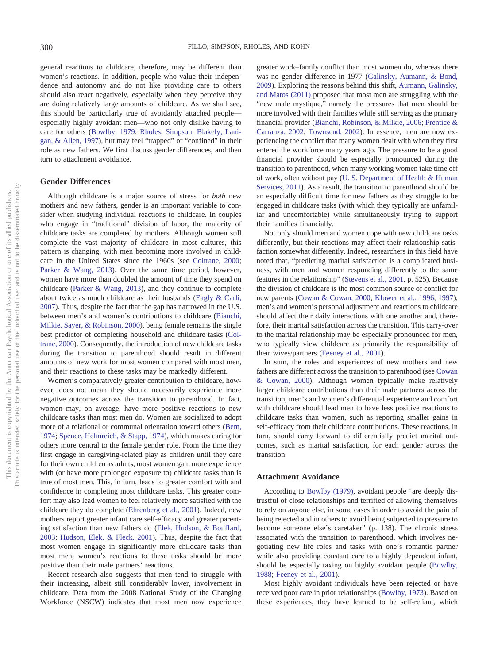general reactions to childcare, therefore, may be different than women's reactions. In addition, people who value their independence and autonomy and do not like providing care to others should also react negatively, especially when they perceive they are doing relatively large amounts of childcare. As we shall see, this should be particularly true of avoidantly attached people especially highly avoidant men—who not only dislike having to care for others [\(Bowlby, 1979;](#page-16-5) [Rholes, Simpson, Blakely, Lani](#page-17-12)[gan, & Allen, 1997\)](#page-17-12), but may feel "trapped" or "confined" in their role as new fathers. We first discuss gender differences, and then turn to attachment avoidance.

## **Gender Differences**

Although childcare is a major source of stress for *both* new mothers and new fathers, gender is an important variable to consider when studying individual reactions to childcare. In couples who engage in "traditional" division of labor, the majority of childcare tasks are completed by mothers. Although women still complete the vast majority of childcare in most cultures, this pattern is changing, with men becoming more involved in childcare in the United States since the 1960s (see [Coltrane, 2000;](#page-16-3) [Parker & Wang, 2013\)](#page-17-7). Over the same time period, however, women have more than doubled the amount of time they spend on childcare [\(Parker & Wang, 2013\)](#page-17-7), and they continue to complete about twice as much childcare as their husbands [\(Eagly & Carli,](#page-17-13) [2007\)](#page-17-13). Thus, despite the fact that the gap has narrowed in the U.S. between men's and women's contributions to childcare [\(Bianchi,](#page-16-6) [Milkie, Sayer, & Robinson, 2000\)](#page-16-6), being female remains the single best predictor of completing household and childcare tasks [\(Col](#page-16-3)[trane, 2000\)](#page-16-3). Consequently, the introduction of new childcare tasks during the transition to parenthood should result in different amounts of new work for most women compared with most men, and their reactions to these tasks may be markedly different.

Women's comparatively greater contribution to childcare, however, does not mean they should necessarily experience more negative outcomes across the transition to parenthood. In fact, women may, on average, have more positive reactions to new childcare tasks than most men do. Women are socialized to adopt more of a relational or communal orientation toward others [\(Bem,](#page-16-7) [1974;](#page-16-7) [Spence, Helmreich, & Stapp, 1974\)](#page-18-4), which makes caring for others more central to the female gender role. From the time they first engage in caregiving-related play as children until they care for their own children as adults, most women gain more experience with (or have more prolonged exposure to) childcare tasks than is true of most men. This, in turn, leads to greater comfort with and confidence in completing most childcare tasks. This greater comfort may also lead women to feel relatively more satisfied with the childcare they do complete [\(Ehrenberg et al., 2001\)](#page-17-10). Indeed, new mothers report greater infant care self-efficacy and greater parenting satisfaction than new fathers do [\(Elek, Hudson, & Bouffard,](#page-17-14) [2003;](#page-17-14) [Hudson, Elek, & Fleck, 2001\)](#page-17-15). Thus, despite the fact that most women engage in significantly more childcare tasks than most men, women's reactions to these tasks should be more positive than their male partners' reactions.

Recent research also suggests that men tend to struggle with their increasing, albeit still considerably lower, involvement in childcare. Data from the 2008 National Study of the Changing Workforce (NSCW) indicates that most men now experience

greater work–family conflict than most women do, whereas there was no gender difference in 1977 [\(Galinsky, Aumann, & Bond,](#page-17-16) [2009\)](#page-17-16). Exploring the reasons behind this shift, [Aumann, Galinsky,](#page-16-4) [and Matos \(2011\)](#page-16-4) proposed that most men are struggling with the "new male mystique," namely the pressures that men should be more involved with their families while still serving as the primary financial provider [\(Bianchi, Robinson, & Milkie, 2006;](#page-16-8) [Prentice &](#page-17-17) [Carranza, 2002;](#page-17-17) [Townsend, 2002\)](#page-18-5). In essence, men are now experiencing the conflict that many women dealt with when they first entered the workforce many years ago. The pressure to be a good financial provider should be especially pronounced during the transition to parenthood, when many working women take time off of work, often without pay [\(U. S. Department of Health & Human](#page-18-6) [Services, 2011\)](#page-18-6). As a result, the transition to parenthood should be an especially difficult time for new fathers as they struggle to be engaged in childcare tasks (with which they typically are unfamiliar and uncomfortable) while simultaneously trying to support their families financially.

Not only should men and women cope with new childcare tasks differently, but their reactions may affect their relationship satisfaction somewhat differently. Indeed, researchers in this field have noted that, "predicting marital satisfaction is a complicated business, with men and women responding differently to the same features in the relationship" [\(Stevens et al., 2001,](#page-18-2) p. 525). Because the division of childcare is the most common source of conflict for new parents [\(Cowan & Cowan, 2000;](#page-17-0) [Kluwer et al., 1996,](#page-17-8) [1997\)](#page-17-9), men's and women's personal adjustment and reactions to childcare should affect their daily interactions with one another and, therefore, their marital satisfaction across the transition. This carry-over to the marital relationship may be especially pronounced for men, who typically view childcare as primarily the responsibility of their wives/partners [\(Feeney et al., 2001\)](#page-17-1).

In sum, the roles and experiences of new mothers and new fathers are different across the transition to parenthood (see [Cowan](#page-17-0) [& Cowan, 2000\)](#page-17-0). Although women typically make relatively larger childcare contributions than their male partners across the transition, men's and women's differential experience and comfort with childcare should lead men to have less positive reactions to childcare tasks than women, such as reporting smaller gains in self-efficacy from their childcare contributions. These reactions, in turn, should carry forward to differentially predict marital outcomes, such as marital satisfaction, for each gender across the transition.

### **Attachment Avoidance**

According to [Bowlby \(1979\),](#page-16-5) avoidant people "are deeply distrustful of close relationships and terrified of allowing themselves to rely on anyone else, in some cases in order to avoid the pain of being rejected and in others to avoid being subjected to pressure to become someone else's caretaker" (p. 138). The chronic stress associated with the transition to parenthood, which involves negotiating new life roles and tasks with one's romantic partner while also providing constant care to a highly dependent infant, should be especially taxing on highly avoidant people [\(Bowlby,](#page-16-1) [1988;](#page-16-1) [Feeney et al., 2001\)](#page-17-1).

Most highly avoidant individuals have been rejected or have received poor care in prior relationships [\(Bowlby, 1973\)](#page-16-9). Based on these experiences, they have learned to be self-reliant, which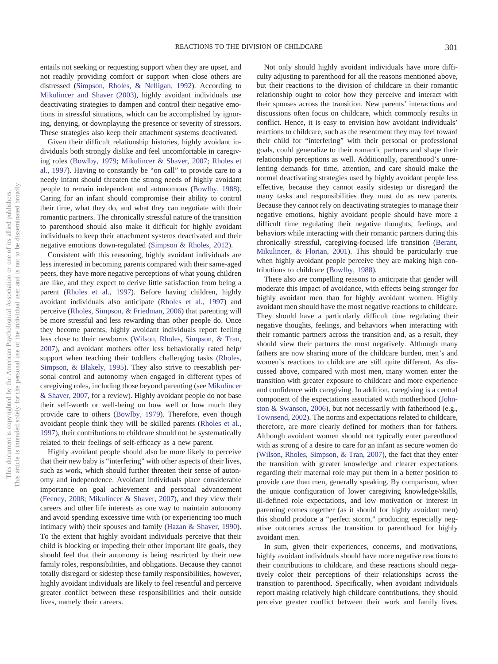entails not seeking or requesting support when they are upset, and not readily providing comfort or support when close others are distressed [\(Simpson, Rholes, & Nelligan, 1992\)](#page-18-7). According to [Mikulincer and Shaver \(2003\),](#page-17-18) highly avoidant individuals use deactivating strategies to dampen and control their negative emotions in stressful situations, which can be accomplished by ignoring, denying, or downplaying the presence or severity of stressors. These strategies also keep their attachment systems deactivated.

Given their difficult relationship histories, highly avoidant individuals both strongly dislike and feel uncomfortable in caregiving roles [\(Bowlby, 1979;](#page-16-5) [Mikulincer & Shaver, 2007;](#page-17-19) [Rholes et](#page-17-12) [al., 1997\)](#page-17-12). Having to constantly be "on call" to provide care to a needy infant should threaten the strong needs of highly avoidant people to remain independent and autonomous [\(Bowlby, 1988\)](#page-16-1). Caring for an infant should compromise their ability to control their time, what they do, and what they can negotiate with their romantic partners. The chronically stressful nature of the transition to parenthood should also make it difficult for highly avoidant individuals to keep their attachment systems deactivated and their negative emotions down-regulated [\(Simpson & Rholes, 2012\)](#page-18-8).

Consistent with this reasoning, highly avoidant individuals are less interested in becoming parents compared with their same-aged peers, they have more negative perceptions of what young children are like, and they expect to derive little satisfaction from being a parent [\(Rholes et al., 1997\)](#page-17-12). Before having children, highly avoidant individuals also anticipate [\(Rholes et al., 1997\)](#page-17-12) and perceive [\(Rholes, Simpson, & Friedman, 2006\)](#page-17-20) that parenting will be more stressful and less rewarding than other people do. Once they become parents, highly avoidant individuals report feeling less close to their newborns [\(Wilson, Rholes, Simpson, & Tran,](#page-18-9) [2007\)](#page-18-9), and avoidant mothers offer less behaviorally rated help/ support when teaching their toddlers challenging tasks [\(Rholes,](#page-17-21) [Simpson, & Blakely, 1995\)](#page-17-21). They also strive to reestablish personal control and autonomy when engaged in different types of caregiving roles, including those beyond parenting (see [Mikulincer](#page-17-19) [& Shaver, 2007,](#page-17-19) for a review). Highly avoidant people do not base their self-worth or well-being on how well or how much they provide care to others [\(Bowlby, 1979\)](#page-16-5). Therefore, even though avoidant people think they will be skilled parents [\(Rholes et al.,](#page-17-12) [1997\)](#page-17-12), their contributions to childcare should not be systematically related to their feelings of self-efficacy as a new parent.

Highly avoidant people should also be more likely to perceive that their new baby is "interfering" with other aspects of their lives, such as work, which should further threaten their sense of autonomy and independence. Avoidant individuals place considerable importance on goal achievement and personal advancement [\(Feeney, 2008;](#page-17-22) [Mikulincer & Shaver, 2007\)](#page-17-19), and they view their careers and other life interests as one way to maintain autonomy and avoid spending excessive time with (or experiencing too much intimacy with) their spouses and family [\(Hazan & Shaver, 1990\)](#page-17-23). To the extent that highly avoidant individuals perceive that their child is blocking or impeding their other important life goals, they should feel that their autonomy is being restricted by their new family roles, responsibilities, and obligations. Because they cannot totally disregard or sidestep these family responsibilities, however, highly avoidant individuals are likely to feel resentful and perceive greater conflict between these responsibilities and their outside lives, namely their careers.

Not only should highly avoidant individuals have more difficulty adjusting to parenthood for all the reasons mentioned above, but their reactions to the division of childcare in their romantic relationship ought to color how they perceive and interact with their spouses across the transition. New parents' interactions and discussions often focus on childcare, which commonly results in conflict. Hence, it is easy to envision how avoidant individuals' reactions to childcare, such as the resentment they may feel toward their child for "interfering" with their personal or professional goals, could generalize to their romantic partners and shape their relationship perceptions as well. Additionally, parenthood's unrelenting demands for time, attention, and care should make the normal deactivating strategies used by highly avoidant people less effective, because they cannot easily sidestep or disregard the many tasks and responsibilities they must do as new parents. Because they cannot rely on deactivating strategies to manage their negative emotions, highly avoidant people should have more a difficult time regulating their negative thoughts, feelings, and behaviors while interacting with their romantic partners during this chronically stressful, caregiving-focused life transition [\(Berant,](#page-16-10) [Mikulincer, & Florian, 2001\)](#page-16-10). This should be particularly true when highly avoidant people perceive they are making high contributions to childcare [\(Bowlby, 1988\)](#page-16-1).

There also are compelling reasons to anticipate that gender will moderate this impact of avoidance, with effects being stronger for highly avoidant men than for highly avoidant women. Highly avoidant men should have the most negative reactions to childcare. They should have a particularly difficult time regulating their negative thoughts, feelings, and behaviors when interacting with their romantic partners across the transition and, as a result, they should view their partners the most negatively. Although many fathers are now sharing more of the childcare burden, men's and women's reactions to childcare are still quite different. As discussed above, compared with most men, many women enter the transition with greater exposure to childcare and more experience and confidence with caregiving. In addition, caregiving is a central component of the expectations associated with motherhood [\(John](#page-17-24)[ston & Swanson, 2006\)](#page-17-24), but not necessarily with fatherhood (e.g., [Townsend, 2002\)](#page-18-5). The norms and expectations related to childcare, therefore, are more clearly defined for mothers than for fathers. Although avoidant women should not typically enter parenthood with as strong of a desire to care for an infant as secure women do [\(Wilson, Rholes, Simpson, & Tran, 2007\)](#page-18-9), the fact that they enter the transition with greater knowledge and clearer expectations regarding their maternal role may put them in a better position to provide care than men, generally speaking. By comparison, when the unique configuration of lower caregiving knowledge/skills, ill-defined role expectations, and low motivation or interest in parenting comes together (as it should for highly avoidant men) this should produce a "perfect storm," producing especially negative outcomes across the transition to parenthood for highly avoidant men.

In sum, given their experiences, concerns, and motivations, highly avoidant individuals should have more negative reactions to their contributions to childcare, and these reactions should negatively color their perceptions of their relationships across the transition to parenthood. Specifically, when avoidant individuals report making relatively high childcare contributions, they should perceive greater conflict between their work and family lives.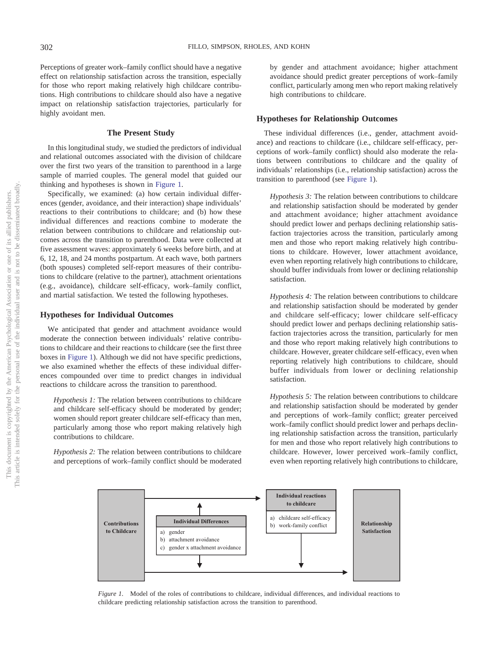Perceptions of greater work–family conflict should have a negative effect on relationship satisfaction across the transition, especially for those who report making relatively high childcare contributions. High contributions to childcare should also have a negative impact on relationship satisfaction trajectories, particularly for highly avoidant men.

## **The Present Study**

In this longitudinal study, we studied the predictors of individual and relational outcomes associated with the division of childcare over the first two years of the transition to parenthood in a large sample of married couples. The general model that guided our thinking and hypotheses is shown in [Figure 1.](#page-4-0)

Specifically, we examined: (a) how certain individual differences (gender, avoidance, and their interaction) shape individuals' reactions to their contributions to childcare; and (b) how these individual differences and reactions combine to moderate the relation between contributions to childcare and relationship outcomes across the transition to parenthood. Data were collected at five assessment waves: approximately 6 weeks before birth, and at 6, 12, 18, and 24 months postpartum. At each wave, both partners (both spouses) completed self-report measures of their contributions to childcare (relative to the partner), attachment orientations (e.g., avoidance), childcare self-efficacy, work–family conflict, and martial satisfaction. We tested the following hypotheses.

## **Hypotheses for Individual Outcomes**

We anticipated that gender and attachment avoidance would moderate the connection between individuals' relative contributions to childcare and their reactions to childcare (see the first three boxes in [Figure 1\)](#page-4-0). Although we did not have specific predictions, we also examined whether the effects of these individual differences compounded over time to predict changes in individual reactions to childcare across the transition to parenthood.

*Hypothesis 1:* The relation between contributions to childcare and childcare self-efficacy should be moderated by gender; women should report greater childcare self-efficacy than men, particularly among those who report making relatively high contributions to childcare.

*Hypothesis 2:* The relation between contributions to childcare and perceptions of work–family conflict should be moderated by gender and attachment avoidance; higher attachment avoidance should predict greater perceptions of work–family conflict, particularly among men who report making relatively high contributions to childcare.

## **Hypotheses for Relationship Outcomes**

These individual differences (i.e., gender, attachment avoidance) and reactions to childcare (i.e., childcare self-efficacy, perceptions of work–family conflict) should also moderate the relations between contributions to childcare and the quality of individuals' relationships (i.e., relationship satisfaction) across the transition to parenthood (see [Figure 1\)](#page-4-0).

*Hypothesis 3:* The relation between contributions to childcare and relationship satisfaction should be moderated by gender and attachment avoidance; higher attachment avoidance should predict lower and perhaps declining relationship satisfaction trajectories across the transition, particularly among men and those who report making relatively high contributions to childcare. However, lower attachment avoidance, even when reporting relatively high contributions to childcare, should buffer individuals from lower or declining relationship satisfaction.

*Hypothesis 4:* The relation between contributions to childcare and relationship satisfaction should be moderated by gender and childcare self-efficacy; lower childcare self-efficacy should predict lower and perhaps declining relationship satisfaction trajectories across the transition, particularly for men and those who report making relatively high contributions to childcare. However, greater childcare self-efficacy, even when reporting relatively high contributions to childcare, should buffer individuals from lower or declining relationship satisfaction.

*Hypothesis 5:* The relation between contributions to childcare and relationship satisfaction should be moderated by gender and perceptions of work–family conflict; greater perceived work–family conflict should predict lower and perhaps declining relationship satisfaction across the transition, particularly for men and those who report relatively high contributions to childcare. However, lower perceived work–family conflict, even when reporting relatively high contributions to childcare,



<span id="page-4-0"></span>*Figure 1.* Model of the roles of contributions to childcare, individual differences, and individual reactions to childcare predicting relationship satisfaction across the transition to parenthood.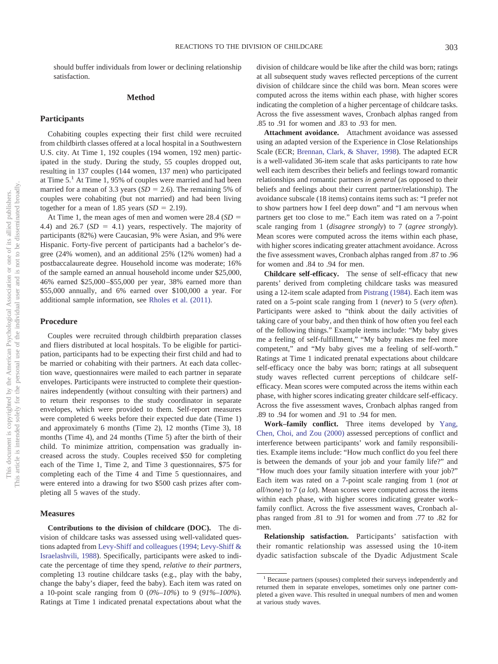should buffer individuals from lower or declining relationship satisfaction.

## **Method**

## **Participants**

Cohabiting couples expecting their first child were recruited from childbirth classes offered at a local hospital in a Southwestern U.S. city. At Time 1, 192 couples (194 women, 192 men) participated in the study. During the study, 55 couples dropped out, resulting in 137 couples (144 women, 137 men) who participated at Time 5.<sup>1</sup> At Time 1, 95% of couples were married and had been married for a mean of 3.3 years  $(SD = 2.6)$ . The remaining 5% of couples were cohabiting (but not married) and had been living together for a mean of 1.85 years  $(SD = 2.19)$ .

At Time 1, the mean ages of men and women were  $28.4$  ( $SD =$ 4.4) and  $26.7$  ( $SD = 4.1$ ) years, respectively. The majority of participants (82%) were Caucasian, 9% were Asian, and 9% were Hispanic. Forty-five percent of participants had a bachelor's degree (24% women), and an additional 25% (12% women) had a postbaccalaureate degree. Household income was moderate; 16% of the sample earned an annual household income under \$25,000, 46% earned \$25,000 –\$55,000 per year, 38% earned more than \$55,000 annually, and 6% earned over \$100,000 a year. For additional sample information, see [Rholes et al. \(2011\).](#page-18-10)

#### **Procedure**

Couples were recruited through childbirth preparation classes and fliers distributed at local hospitals. To be eligible for participation, participants had to be expecting their first child and had to be married or cohabiting with their partners. At each data collection wave, questionnaires were mailed to each partner in separate envelopes. Participants were instructed to complete their questionnaires independently (without consulting with their partners) and to return their responses to the study coordinator in separate envelopes, which were provided to them. Self-report measures were completed 6 weeks before their expected due date (Time 1) and approximately 6 months (Time 2), 12 months (Time 3), 18 months (Time 4), and 24 months (Time 5) after the birth of their child. To minimize attrition, compensation was gradually increased across the study. Couples received \$50 for completing each of the Time 1, Time 2, and Time 3 questionnaires, \$75 for completing each of the Time 4 and Time 5 questionnaires, and were entered into a drawing for two \$500 cash prizes after completing all 5 waves of the study.

## **Measures**

**Contributions to the division of childcare (DOC).** The division of childcare tasks was assessed using well-validated questions adapted from [Levy-Shiff and colleagues \(1994;](#page-17-25) [Levy-Shiff &](#page-17-26) [Israelashvili, 1988\)](#page-17-26). Specifically, participants were asked to indicate the percentage of time they spend, *relative to their partners*, completing 13 routine childcare tasks (e.g., play with the baby, change the baby's diaper, feed the baby). Each item was rated on a 10-point scale ranging from 0 (*0%–10%*) to 9 (*91%–100%*). Ratings at Time 1 indicated prenatal expectations about what the

division of childcare would be like after the child was born; ratings at all subsequent study waves reflected perceptions of the current division of childcare since the child was born. Mean scores were computed across the items within each phase, with higher scores indicating the completion of a higher percentage of childcare tasks. Across the five assessment waves, Cronbach alphas ranged from .85 to .91 for women and .83 to .93 for men.

**Attachment avoidance.** Attachment avoidance was assessed using an adapted version of the Experience in Close Relationships Scale (ECR; [Brennan, Clark, & Shaver, 1998\)](#page-16-11). The adapted ECR is a well-validated 36-item scale that asks participants to rate how well each item describes their beliefs and feelings toward romantic relationships and romantic partners *in general* (as opposed to their beliefs and feelings about their current partner/relationship). The avoidance subscale (18 items) contains items such as: "I prefer not to show partners how I feel deep down" and "I am nervous when partners get too close to me." Each item was rated on a 7-point scale ranging from 1 (*disagree strongly*) to 7 (*agree strongly*). Mean scores were computed across the items within each phase, with higher scores indicating greater attachment avoidance. Across the five assessment waves, Cronbach alphas ranged from .87 to .96 for women and .84 to .94 for men.

**Childcare self-efficacy.** The sense of self-efficacy that new parents' derived from completing childcare tasks was measured using a 12-item scale adapted from [Pistrang \(1984\).](#page-17-27) Each item was rated on a 5-point scale ranging from 1 (*never*) to 5 (*very often*). Participants were asked to "think about the daily activities of taking care of your baby, and then think of how often you feel each of the following things." Example items include: "My baby gives me a feeling of self-fulfillment," "My baby makes me feel more competent," and "My baby gives me a feeling of self-worth." Ratings at Time 1 indicated prenatal expectations about childcare self-efficacy once the baby was born; ratings at all subsequent study waves reflected current perceptions of childcare selfefficacy. Mean scores were computed across the items within each phase, with higher scores indicating greater childcare self-efficacy. Across the five assessment waves, Cronbach alphas ranged from .89 to .94 for women and .91 to .94 for men.

**Work–family conflict.** Three items developed by [Yang,](#page-18-11) [Chen, Choi, and Zou \(2000\)](#page-18-11) assessed perceptions of conflict and interference between participants' work and family responsibilities. Example items include: "How much conflict do you feel there is between the demands of your job and your family life?" and "How much does your family situation interfere with your job?" Each item was rated on a 7-point scale ranging from 1 (*not at all/none*) to 7 (*a lot*). Mean scores were computed across the items within each phase, with higher scores indicating greater work– family conflict. Across the five assessment waves, Cronbach alphas ranged from .81 to .91 for women and from .77 to .82 for men.

**Relationship satisfaction.** Participants' satisfaction with their romantic relationship was assessed using the 10-item dyadic satisfaction subscale of the Dyadic Adjustment Scale

<sup>&</sup>lt;sup>1</sup> Because partners (spouses) completed their surveys independently and returned them in separate envelopes, sometimes only one partner completed a given wave. This resulted in unequal numbers of men and women at various study waves.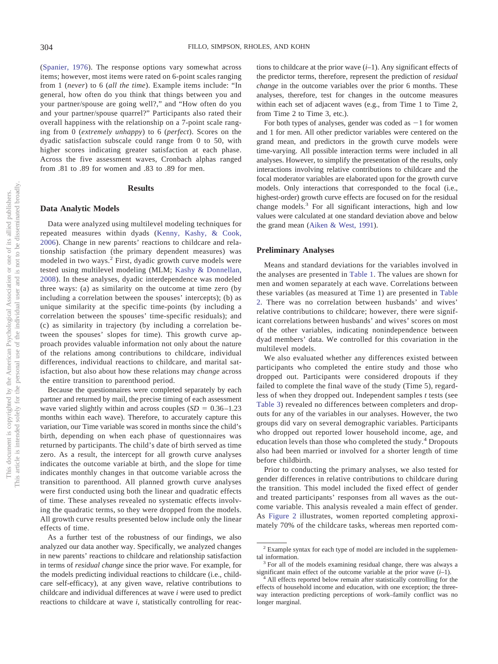[\(Spanier, 1976\)](#page-18-12). The response options vary somewhat across items; however, most items were rated on 6-point scales ranging from 1 (*never*) to 6 (*all the time*). Example items include: "In general, how often do you think that things between you and your partner/spouse are going well?," and "How often do you and your partner/spouse quarrel?" Participants also rated their overall happiness with the relationship on a 7-point scale ranging from 0 (*extremely unhappy*) to 6 (*perfect*). Scores on the dyadic satisfaction subscale could range from 0 to 50, with higher scores indicating greater satisfaction at each phase. Across the five assessment waves, Cronbach alphas ranged from .81 to .89 for women and .83 to .89 for men.

# **Results**

## **Data Analytic Models**

Data were analyzed using multilevel modeling techniques for repeated measures within dyads [\(Kenny, Kashy, & Cook,](#page-17-28) [2006\)](#page-17-28). Change in new parents' reactions to childcare and relationship satisfaction (the primary dependent measures) was modeled in two ways.<sup>2</sup> First, dyadic growth curve models were tested using multilevel modeling (MLM; [Kashy & Donnellan,](#page-17-29) [2008\)](#page-17-29). In these analyses, dyadic interdependence was modeled three ways: (a) as similarity on the outcome at time zero (by including a correlation between the spouses' intercepts); (b) as unique similarity at the specific time-points (by including a correlation between the spouses' time-specific residuals); and (c) as similarity in trajectory (by including a correlation between the spouses' slopes for time). This growth curve approach provides valuable information not only about the nature of the relations among contributions to childcare, individual differences, individual reactions to childcare, and marital satisfaction, but also about how these relations may *change* across the entire transition to parenthood period.

Because the questionnaires were completed separately by each partner and returned by mail, the precise timing of each assessment wave varied slightly within and across couples  $(SD = 0.36 - 1.23)$ months within each wave). Therefore, to accurately capture this variation, our Time variable was scored in months since the child's birth, depending on when each phase of questionnaires was returned by participants. The child's date of birth served as time zero. As a result, the intercept for all growth curve analyses indicates the outcome variable at birth, and the slope for time indicates monthly changes in that outcome variable across the transition to parenthood. All planned growth curve analyses were first conducted using both the linear and quadratic effects of time. These analyses revealed no systematic effects involving the quadratic terms, so they were dropped from the models. All growth curve results presented below include only the linear effects of time.

As a further test of the robustness of our findings, we also analyzed our data another way. Specifically, we analyzed changes in new parents' reactions to childcare and relationship satisfaction in terms of *residual change* since the prior wave. For example, for the models predicting individual reactions to childcare (i.e., childcare self-efficacy), at any given wave, relative contributions to childcare and individual differences at wave *i* were used to predict reactions to childcare at wave *i*, statistically controlling for reactions to childcare at the prior wave (*i*–1). Any significant effects of the predictor terms, therefore, represent the prediction of *residual change* in the outcome variables over the prior 6 months. These analyses, therefore, test for changes in the outcome measures within each set of adjacent waves (e.g., from Time 1 to Time 2, from Time 2 to Time 3, etc.).

For both types of analyses, gender was coded as  $-1$  for women and 1 for men. All other predictor variables were centered on the grand mean, and predictors in the growth curve models were time-varying. All possible interaction terms were included in all analyses. However, to simplify the presentation of the results, only interactions involving relative contributions to childcare and the focal moderator variables are elaborated upon for the growth curve models. Only interactions that corresponded to the focal (i.e., highest-order) growth curve effects are focused on for the residual change models.<sup>3</sup> For all significant interactions, high and low values were calculated at one standard deviation above and below the grand mean [\(Aiken & West, 1991\)](#page-16-12).

## **Preliminary Analyses**

Means and standard deviations for the variables involved in the analyses are presented in [Table 1.](#page-7-0) The values are shown for men and women separately at each wave. Correlations between these variables (as measured at Time 1) are presented in [Table](#page-8-0) [2.](#page-8-0) There was no correlation between husbands' and wives' relative contributions to childcare; however, there were significant correlations between husbands' and wives' scores on most of the other variables, indicating nonindependence between dyad members' data. We controlled for this covariation in the multilevel models.

We also evaluated whether any differences existed between participants who completed the entire study and those who dropped out. Participants were considered dropouts if they failed to complete the final wave of the study (Time 5), regardless of when they dropped out. Independent samples *t* tests (see [Table 3\)](#page-8-1) revealed no differences between completers and dropouts for any of the variables in our analyses. However, the two groups did vary on several demographic variables. Participants who dropped out reported lower household income, age, and education levels than those who completed the study.<sup>4</sup> Dropouts also had been married or involved for a shorter length of time before childbirth.

Prior to conducting the primary analyses, we also tested for gender differences in relative contributions to childcare during the transition. This model included the fixed effect of gender and treated participants' responses from all waves as the outcome variable. This analysis revealed a main effect of gender. As [Figure 2](#page-8-2) illustrates, women reported completing approximately 70% of the childcare tasks, whereas men reported com-

<sup>2</sup> Example syntax for each type of model are included in the supplemental information.<br> $3$  For all of the models examining residual change, there was always a

significant main effect of the outcome variable at the prior wave (*i*–1). <sup>4</sup> All effects reported below remain after statistically controlling for the

effects of household income and education, with one exception; the threeway interaction predicting perceptions of work–family conflict was no longer marginal.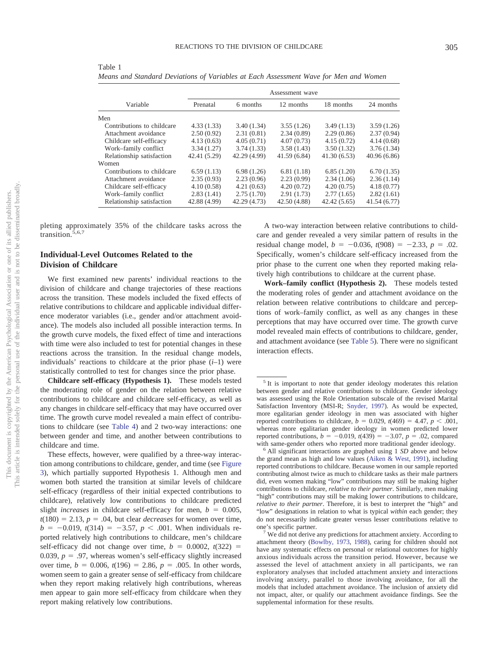|                            | Assessment wave |              |              |              |             |  |  |
|----------------------------|-----------------|--------------|--------------|--------------|-------------|--|--|
| Variable                   | Prenatal        | 6 months     | 12 months    | 18 months    | 24 months   |  |  |
| Men                        |                 |              |              |              |             |  |  |
| Contributions to childcare | 4.33(1.33)      | 3.40(1.34)   | 3.55(1.26)   | 3.49(1.13)   | 3.59(1.26)  |  |  |
| Attachment avoidance       | 2.50(0.92)      | 2.31(0.81)   | 2.34(0.89)   | 2.29(0.86)   | 2.37(0.94)  |  |  |
| Childcare self-efficacy    | 4.13(0.63)      | 4.05(0.71)   | 4.07(0.73)   | 4.15(0.72)   | 4.14(0.68)  |  |  |
| Work-family conflict       | 3.34(1.27)      | 3.74(1.33)   | 3.58(1.43)   | 3.50(1.32)   | 3.76(1.34)  |  |  |
| Relationship satisfaction  | 42.41 (5.29)    | 42.29 (4.99) | 41.59(6.84)  | 41.30(6.53)  | 40.96(6.86) |  |  |
| Women                      |                 |              |              |              |             |  |  |
| Contributions to childcare | 6.59(1.13)      | 6.98(1.26)   | 6.81(1.18)   | 6.85(1.20)   | 6.70(1.35)  |  |  |
| Attachment avoidance       | 2.35(0.93)      | 2.23(0.96)   | 2.23(0.99)   | 2.34(1.06)   | 2.36(1.14)  |  |  |
| Childcare self-efficacy    | 4.10(0.58)      | 4.21(0.63)   | 4.20(0.72)   | 4.20(0.75)   | 4.18(0.77)  |  |  |
| Work-family conflict       | 2.83(1.41)      | 2.75(1.70)   | 2.91(1.73)   | 2.77(1.65)   | 2.82(1.61)  |  |  |
| Relationship satisfaction  | 42.88 (4.99)    | 42.29 (4.73) | 42.50 (4.88) | 42.42 (5.65) | 41.54(6.77) |  |  |

<span id="page-7-0"></span>Table 1 *Means and Standard Deviations of Variables at Each Assessment Wave for Men and Women*

pleting approximately 35% of the childcare tasks across the transition.<sup>5,6,7</sup>

# **Individual-Level Outcomes Related to the Division of Childcare**

We first examined new parents' individual reactions to the division of childcare and change trajectories of these reactions across the transition. These models included the fixed effects of relative contributions to childcare and applicable individual difference moderator variables (i.e., gender and/or attachment avoidance). The models also included all possible interaction terms. In the growth curve models, the fixed effect of time and interactions with time were also included to test for potential changes in these reactions across the transition. In the residual change models, individuals' reactions to childcare at the prior phase (*i*–1) were statistically controlled to test for changes since the prior phase.

**Childcare self-efficacy (Hypothesis 1).** These models tested the moderating role of gender on the relation between relative contributions to childcare and childcare self-efficacy, as well as any changes in childcare self-efficacy that may have occurred over time. The growth curve model revealed a main effect of contributions to childcare (see [Table 4\)](#page-9-0) and 2 two-way interactions: one between gender and time, and another between contributions to childcare and time.

These effects, however, were qualified by a three-way interaction among contributions to childcare, gender, and time (see [Figure](#page-9-1) [3\)](#page-9-1), which partially supported Hypothesis 1. Although men and women both started the transition at similar levels of childcare self-efficacy (regardless of their initial expected contributions to childcare), relatively low contributions to childcare predicted slight *increases* in childcare self-efficacy for men,  $b = 0.005$ ,  $t(180) = 2.13$ ,  $p = .04$ , but clear *decreases* for women over time,  $b = -0.019$ ,  $t(314) = -3.57$ ,  $p < .001$ . When individuals reported relatively high contributions to childcare, men's childcare self-efficacy did not change over time,  $b = 0.0002$ ,  $t(322) =$ 0.039,  $p = .97$ , whereas women's self-efficacy slightly increased over time,  $b = 0.006$ ,  $t(196) = 2.86$ ,  $p = .005$ . In other words, women seem to gain a greater sense of self-efficacy from childcare when they report making relatively high contributions, whereas men appear to gain more self-efficacy from childcare when they report making relatively low contributions.

A two-way interaction between relative contributions to childcare and gender revealed a very similar pattern of results in the residual change model,  $b = -0.036$ ,  $t(908) = -2.33$ ,  $p = .02$ . Specifically, women's childcare self-efficacy increased from the prior phase to the current one when they reported making relatively high contributions to childcare at the current phase.

**Work–family conflict (Hypothesis 2).** These models tested the moderating roles of gender and attachment avoidance on the relation between relative contributions to childcare and perceptions of work–family conflict, as well as any changes in these perceptions that may have occurred over time. The growth curve model revealed main effects of contributions to childcare, gender, and attachment avoidance (see [Table 5\)](#page-9-2). There were no significant interaction effects.

<sup>&</sup>lt;sup>5</sup> It is important to note that gender ideology moderates this relation between gender and relative contributions to childcare. Gender ideology was assessed using the Role Orientation subscale of the revised Marital Satisfaction Inventory (MSI-R; [Snyder, 1997\)](#page-18-13). As would be expected, more egalitarian gender ideology in men was associated with higher reported contributions to childcare,  $b = 0.029$ ,  $t(469) = 4.47$ ,  $p < .001$ , whereas more egalitarian gender ideology in women predicted lower reported contributions,  $b = -0.019$ ,  $t(439) = -3.07$ ,  $p = .02$ , compared

with same-gender others who reported more traditional gender ideology.<br><sup>6</sup> All significant interactions are graphed using 1 *SD* above and below the grand mean as high and low values (Aiken  $\&$  West, 1991), including reported contributions to childcare. Because women in our sample reported contributing almost twice as much to childcare tasks as their male partners did, even women making "low" contributions may still be making higher contributions to childcare, *relative to their partner*. Similarly, men making "high" contributions may still be making lower contributions to childcare, *relative to their partner*. Therefore, it is best to interpret the "high" and "low" designations in relation to what is typical *within* each gender; they do not necessarily indicate greater versus lesser contributions relative to

one's specific partner.<br><sup>7</sup> We did not derive any predictions for attachment anxiety. According to attachment theory [\(Bowlby, 1973,](#page-16-9) [1988\)](#page-16-1), caring for children should not have any systematic effects on personal or relational outcomes for highly anxious individuals across the transition period. However, because we assessed the level of attachment anxiety in all participants, we ran exploratory analyses that included attachment anxiety and interactions involving anxiety, parallel to those involving avoidance, for all the models that included attachment avoidance. The inclusion of anxiety did not impact, alter, or qualify our attachment avoidance findings. See the supplemental information for these results.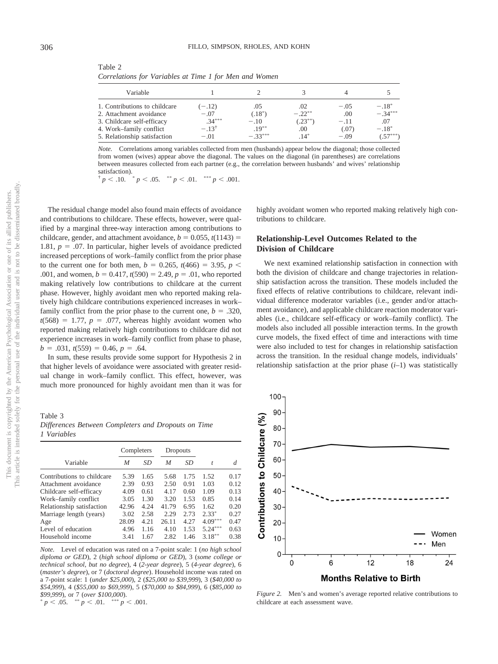| Variable                                                |                            |                      |               |                 |                       |
|---------------------------------------------------------|----------------------------|----------------------|---------------|-----------------|-----------------------|
| 1. Contributions to childcare                           | $(-.12)$                   | .05                  | .02           | $-.05$          | $-.18*$               |
| 2. Attachment avoidance                                 | $-.07$                     | $(.18^*)$            | $-.22**$      | .00             | $-.34***$             |
| 3. Childcare self-efficacy                              | $.34***$                   | $-.10$               | $(0.23^{**})$ | $-.11$          | .07                   |
| 4. Work–family conflict<br>5. Relationship satisfaction | $-.13^{\dagger}$<br>$-.01$ | $.19***$<br>$-33***$ | .00<br>$.14*$ | (.07)<br>$-.09$ | $-.18*$<br>$(.57***)$ |

<span id="page-8-0"></span>Table 2 *Correlations for Variables at Time 1 for Men and Women*

*Note.* Correlations among variables collected from men (husbands) appear below the diagonal; those collected from women (wives) appear above the diagonal. The values on the diagonal (in parentheses) are correlations between measures collected from each partner (e.g., the correlation between husbands' and wives' relationship satisfaction).

 $\forall p < .10.$   $\forall p < .05.$   $\forall x p < .01.$   $\forall x \in p < .001.$ 

The residual change model also found main effects of avoidance and contributions to childcare. These effects, however, were qualified by a marginal three-way interaction among contributions to childcare, gender, and attachment avoidance,  $b = 0.055$ ,  $t(1143) =$ 1.81,  $p = .07$ . In particular, higher levels of avoidance predicted increased perceptions of work–family conflict from the prior phase to the current one for both men,  $b = 0.265$ ,  $t(466) = 3.95$ ,  $p <$ .001, and women,  $b = 0.417$ ,  $t(590) = 2.49$ ,  $p = .01$ , who reported making relatively low contributions to childcare at the current phase. However, highly avoidant men who reported making relatively high childcare contributions experienced increases in work– family conflict from the prior phase to the current one,  $b = .320$ ,  $t(568) = 1.77$ ,  $p = .077$ , whereas highly avoidant women who reported making relatively high contributions to childcare did not experience increases in work–family conflict from phase to phase,  $b = .031, t(559) = 0.46, p = .64.$ 

In sum, these results provide some support for Hypothesis 2 in that higher levels of avoidance were associated with greater residual change in work–family conflict. This effect, however, was much more pronounced for highly avoidant men than it was for

<span id="page-8-1"></span>Table 3 *Differences Between Completers and Dropouts on Time 1 Variables*

|                            | Completers |      | Dropouts |      |           |      |
|----------------------------|------------|------|----------|------|-----------|------|
| Variable                   | M          | SD   | M        | SD   | t         | d    |
| Contributions to childcare | 5.39       | 1.65 | 5.68     | 1.75 | 1.52      | 0.17 |
| Attachment avoidance       | 2.39       | 0.93 | 2.50     | 0.91 | 1.03      | 0.12 |
| Childcare self-efficacy    | 4.09       | 0.61 | 4.17     | 0.60 | 1.09      | 0.13 |
| Work-family conflict       | 3.05       | 1.30 | 3.20     | 1.53 | 0.85      | 0.14 |
| Relationship satisfaction  | 42.96      | 4.24 | 41.79    | 6.95 | 1.62      | 0.20 |
| Marriage length (years)    | 3.02       | 2.58 | 2.29     | 2.73 | $2.33*$   | 0.27 |
| Age                        | 28.09      | 4.21 | 26.11    | 4.27 | $4.09***$ | 0.47 |
| Level of education         | 4.96       | 1.16 | 4.10     | 1.53 | $5.24***$ | 0.63 |
| Household income           | 3.41       | 1.67 | 2.82     | 1.46 | $3.18***$ | 0.38 |

*Note.* Level of education was rated on a 7-point scale: 1 (*no high school diploma or GED*), 2 (*high school diploma or GED*), 3 (*some college or technical school, but no degree*), 4 (*2-year degree*), 5 (*4-year degree*), 6 (*master's degree*), or 7 (*doctoral degree*). Household income was rated on a 7-point scale: 1 (*under \$25,000*), 2 (*\$25,000 to \$39,999*), 3 (*\$40,000 to \$54,999*), 4 (*\$55,000 to \$69,999*), 5 (*\$70,000 to \$84,999*), 6 (*\$85,000 to \$99,999*), or 7 (*over \$100,000*).

 $p < .05.$  \*\*  $p < .01.$  \*\*\*  $p < .001.$ 

highly avoidant women who reported making relatively high contributions to childcare.

# **Relationship-Level Outcomes Related to the Division of Childcare**

We next examined relationship satisfaction in connection with both the division of childcare and change trajectories in relationship satisfaction across the transition. These models included the fixed effects of relative contributions to childcare, relevant individual difference moderator variables (i.e., gender and/or attachment avoidance), and applicable childcare reaction moderator variables (i.e., childcare self-efficacy or work–family conflict). The models also included all possible interaction terms. In the growth curve models, the fixed effect of time and interactions with time were also included to test for changes in relationship satisfaction across the transition. In the residual change models, individuals' relationship satisfaction at the prior phase  $(i-1)$  was statistically



<span id="page-8-2"></span>*Figure 2.* Men's and women's average reported relative contributions to childcare at each assessment wave.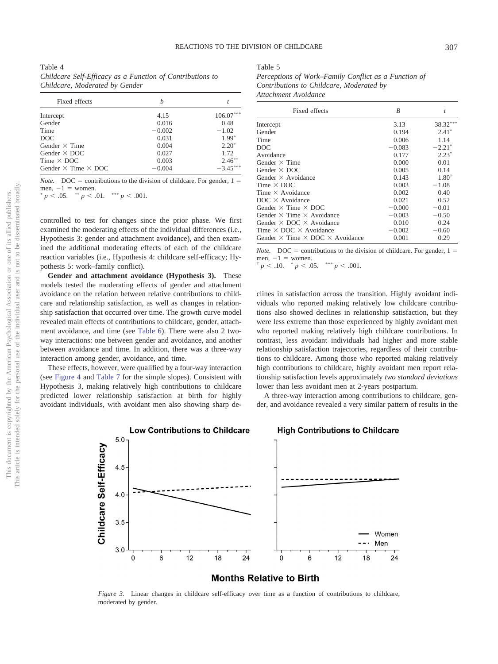<span id="page-9-0"></span>Table 4 *Childcare Self-Efficacy as a Function of Contributions to Childcare, Moderated by Gender*

| Fixed effects                     | h        |             |  |
|-----------------------------------|----------|-------------|--|
| Intercept                         | 4.15     | $106.07***$ |  |
| Gender                            | 0.016    | 0.48        |  |
| Time                              | $-0.002$ | $-1.02$     |  |
| DOC                               | 0.031    | $1.99*$     |  |
| Gender $\times$ Time              | 0.004    | $2.20*$     |  |
| Gender $\times$ DOC               | 0.027    | 1.72        |  |
| Time $\times$ DOC                 | 0.003    | $2.46***$   |  |
| Gender $\times$ Time $\times$ DOC | $-0.004$ | $-3.45***$  |  |

*Note.* DOC = contributions to the division of childcare. For gender,  $1 =$ men,  $-1 =$  women.<br>\*  $n \leq 0.5$  \*\*  $n \leq$ 

 $p < .05.$  \*\*  $p < .01.$  \*\*\*  $p < .001.$ 

controlled to test for changes since the prior phase. We first examined the moderating effects of the individual differences (i.e., Hypothesis 3: gender and attachment avoidance), and then examined the additional moderating effects of each of the childcare reaction variables (i.e., Hypothesis 4: childcare self-efficacy; Hypothesis 5: work–family conflict).

**Gender and attachment avoidance (Hypothesis 3).** These models tested the moderating effects of gender and attachment avoidance on the relation between relative contributions to childcare and relationship satisfaction, as well as changes in relationship satisfaction that occurred over time. The growth curve model revealed main effects of contributions to childcare, gender, attachment avoidance, and time (see [Table 6\)](#page-10-0). There were also 2 twoway interactions: one between gender and avoidance, and another between avoidance and time. In addition, there was a three-way interaction among gender, avoidance, and time.

(see [Figure 4](#page-11-0) and [Table 7](#page-12-0) for the simple slopes). Consistent with Hypothesis 3, making relatively high contributions to childcare predicted lower relationship satisfaction at birth for highly avoidant individuals, with avoidant men also showing sharp de<span id="page-9-2"></span>*Perceptions of Work–Family Conflict as a Function of Contributions to Childcare, Moderated by Attachment Avoidance*

| Fixed effects                                        | B        | t          |
|------------------------------------------------------|----------|------------|
| Intercept                                            | 3.13     | 38.32***   |
| Gender                                               | 0.194    | $2.41*$    |
| Time                                                 | 0.006    | 1.14       |
| DOC.                                                 | $-0.083$ | $-2.21*$   |
| Avoidance                                            | 0.177    | $2.23*$    |
| Gender $\times$ Time                                 | 0.000    | 0.01       |
| Gender $\times$ DOC                                  | 0.005    | 0.14       |
| Gender $\times$ Avoidance                            | 0.143    | $1.80^{+}$ |
| Time $\times$ DOC                                    | 0.003    | $-1.08$    |
| Time $\times$ Avoidance                              | 0.002    | 0.40       |
| $DOC \times Avoidance$                               | 0.021    | 0.52       |
| Gender $\times$ Time $\times$ DOC                    | $-0.000$ | $-0.01$    |
| Gender $\times$ Time $\times$ Avoidance              | $-0.003$ | $-0.50$    |
| Gender $\times$ DOC $\times$ Avoidance               | 0.010    | 0.24       |
| Time $\times$ DOC $\times$ Avoidance                 | $-0.002$ | $-0.60$    |
| Gender $\times$ Time $\times$ DOC $\times$ Avoidance | 0.001    | 0.29       |

*Note.* DOC = contributions to the division of childcare. For gender,  $1 =$ men,  $-1$  = women. men,  $-1$  = women.<br>
<sup>†</sup> *p* < .10. \* *p* < .05. \*

\*\*  $p < .001$ .

clines in satisfaction across the transition. Highly avoidant individuals who reported making relatively low childcare contributions also showed declines in relationship satisfaction, but they were less extreme than those experienced by highly avoidant men who reported making relatively high childcare contributions. In contrast, less avoidant individuals had higher and more stable relationship satisfaction trajectories, regardless of their contributions to childcare. Among those who reported making relatively high contributions to childcare, highly avoidant men report relationship satisfaction levels approximately *two standard deviations* lower than less avoidant men at 2-years postpartum.

A three-way interaction among contributions to childcare, gender, and avoidance revealed a very similar pattern of results in the

 $12$ 

Women Men

24

18

This document is copyrighted by the American Psychological Association or one of its allied publishers. This article is intended solely for the personal use of the individual user and is not to be disseminated broadly.

This document is copyrighted by the American Psychological Association This article is intended solely for the personal use of the individual user and

 $\rm \tilde{o}$ Š.

not to be disseminated broadly one of its allied publishers.



**Months Relative to Birth** 

<span id="page-9-1"></span>*Figure 3.* Linear changes in childcare self-efficacy over time as a function of contributions to childcare, moderated by gender.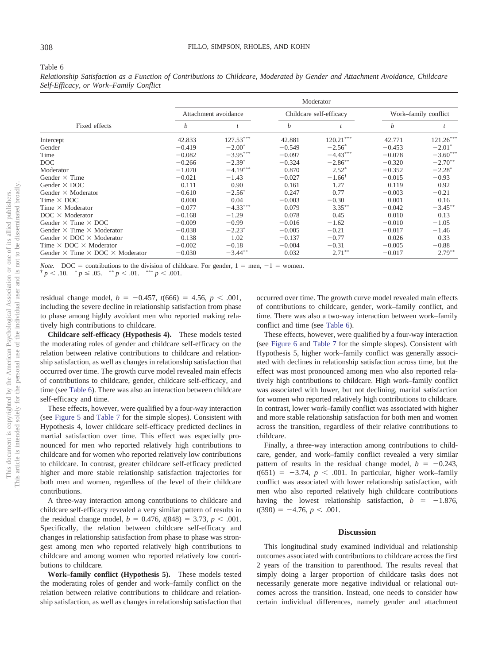### <span id="page-10-0"></span>Table 6

*Relationship Satisfaction as a Function of Contributions to Childcare, Moderated by Gender and Attachment Avoidance, Childcare Self-Efficacy, or Work–Family Conflict*

|                                                      | Moderator |                      |          |                         |                      |            |  |  |
|------------------------------------------------------|-----------|----------------------|----------|-------------------------|----------------------|------------|--|--|
|                                                      |           | Attachment avoidance |          | Childcare self-efficacy | Work-family conflict |            |  |  |
| Fixed effects                                        | b         |                      | b        |                         | $\boldsymbol{b}$     |            |  |  |
| Intercept                                            | 42.833    | $127.53***$          | 42.881   | $120.21***$             | 42.771               | 121.26***  |  |  |
| Gender                                               | $-0.419$  | $-2.00*$             | $-0.549$ | $-2.56^*$               | $-0.453$             | $-2.01*$   |  |  |
| Time                                                 | $-0.082$  | $-3.95***$           | $-0.097$ | $-4.43***$              | $-0.078$             | $-3.60***$ |  |  |
| DOC                                                  | $-0.266$  | $-2.39*$             | $-0.324$ | $-2.86***$              | $-0.320$             | $-2.70***$ |  |  |
| Moderator                                            | $-1.070$  | $-4.19***$           | 0.870    | $2.52*$                 | $-0.352$             | $-2.28*$   |  |  |
| Gender $\times$ Time                                 | $-0.021$  | $-1.43$              | $-0.027$ | $-1.66^{\dagger}$       | $-0.015$             | $-0.93$    |  |  |
| Gender $\times$ DOC                                  | 0.111     | 0.90                 | 0.161    | 1.27                    | 0.119                | 0.92       |  |  |
| Gender $\times$ Moderator                            | $-0.610$  | $-2.56^*$            | 0.247    | 0.77                    | $-0.003$             | $-0.21$    |  |  |
| Time $\times$ DOC                                    | 0.000     | 0.04                 | $-0.003$ | $-0.30$                 | 0.001                | 0.16       |  |  |
| Time $\times$ Moderator                              | $-0.077$  | $-4.33***$           | 0.079    | $3.35***$               | $-0.042$             | $-3.45***$ |  |  |
| $DOC \times Modern$                                  | $-0.168$  | $-1.29$              | 0.078    | 0.45                    | 0.010                | 0.13       |  |  |
| Gender $\times$ Time $\times$ DOC                    | $-0.009$  | $-0.99$              | $-0.016$ | $-1.62$                 | $-0.010$             | $-1.05$    |  |  |
| Gender $\times$ Time $\times$ Moderator              | $-0.038$  | $-2.23^*$            | $-0.005$ | $-0.21$                 | $-0.017$             | $-1.46$    |  |  |
| Gender $\times$ DOC $\times$ Moderator               | 0.138     | 1.02                 | $-0.137$ | $-0.77$                 | 0.026                | 0.33       |  |  |
| Time $\times$ DOC $\times$ Moderator                 | $-0.002$  | $-0.18$              | $-0.004$ | $-0.31$                 | $-0.005$             | $-0.88$    |  |  |
| Gender $\times$ Time $\times$ DOC $\times$ Moderator | $-0.030$  | $-3.44$ **           | 0.032    | $2.71***$               | $-0.017$             | $2.79***$  |  |  |

*Note.* DOC = contributions to the division of childcare. For gender,  $1 = \text{men}, -1 = \text{woman}.$   $\uparrow p < .10.$   $\uparrow p \le .05.$   $\uparrow\uparrow p < .01.$   $\uparrow\uparrow p < .001.$  $p \leq 0.05$ .  $\sqrt[**]{p} < 0.01$ .  $\sqrt[**]{p} < 0.001$ .

residual change model,  $b = -0.457$ ,  $t(666) = 4.56$ ,  $p < .001$ , including the severe decline in relationship satisfaction from phase to phase among highly avoidant men who reported making relatively high contributions to childcare.

**Childcare self-efficacy (Hypothesis 4).** These models tested the moderating roles of gender and childcare self-efficacy on the relation between relative contributions to childcare and relationship satisfaction, as well as changes in relationship satisfaction that occurred over time. The growth curve model revealed main effects of contributions to childcare, gender, childcare self-efficacy, and time (see [Table 6\)](#page-10-0). There was also an interaction between childcare self-efficacy and time.

These effects, however, were qualified by a four-way interaction (see [Figure 5](#page-13-0) and [Table 7](#page-12-0) for the simple slopes). Consistent with Hypothesis 4, lower childcare self-efficacy predicted declines in martial satisfaction over time. This effect was especially pronounced for men who reported relatively high contributions to childcare and for women who reported relatively low contributions to childcare. In contrast, greater childcare self-efficacy predicted higher and more stable relationship satisfaction trajectories for both men and women, regardless of the level of their childcare contributions.

A three-way interaction among contributions to childcare and childcare self-efficacy revealed a very similar pattern of results in the residual change model,  $b = 0.476$ ,  $t(848) = 3.73$ ,  $p < .001$ . Specifically, the relation between childcare self-efficacy and changes in relationship satisfaction from phase to phase was strongest among men who reported relatively high contributions to childcare and among women who reported relatively low contributions to childcare.

**Work–family conflict (Hypothesis 5).** These models tested the moderating roles of gender and work–family conflict on the relation between relative contributions to childcare and relationship satisfaction, as well as changes in relationship satisfaction that occurred over time. The growth curve model revealed main effects of contributions to childcare, gender, work–family conflict, and time. There was also a two-way interaction between work–family conflict and time (see [Table 6\)](#page-10-0).

These effects, however, were qualified by a four-way interaction (see [Figure 6](#page-14-0) and [Table 7](#page-12-0) for the simple slopes). Consistent with Hypothesis 5, higher work–family conflict was generally associated with declines in relationship satisfaction across time, but the effect was most pronounced among men who also reported relatively high contributions to childcare. High work–family conflict was associated with lower, but not declining, marital satisfaction for women who reported relatively high contributions to childcare. In contrast, lower work–family conflict was associated with higher and more stable relationship satisfaction for both men and women across the transition, regardless of their relative contributions to childcare.

Finally, a three-way interaction among contributions to childcare, gender, and work–family conflict revealed a very similar pattern of results in the residual change model,  $b = -0.243$ ,  $t(651) = -3.74$ ,  $p < .001$ . In particular, higher work–family conflict was associated with lower relationship satisfaction, with men who also reported relatively high childcare contributions having the lowest relationship satisfaction,  $b = -1.876$ ,  $t(390) = -4.76, p < .001.$ 

## **Discussion**

This longitudinal study examined individual and relationship outcomes associated with contributions to childcare across the first 2 years of the transition to parenthood. The results reveal that simply doing a larger proportion of childcare tasks does not necessarily generate more negative individual or relational outcomes across the transition. Instead, one needs to consider how certain individual differences, namely gender and attachment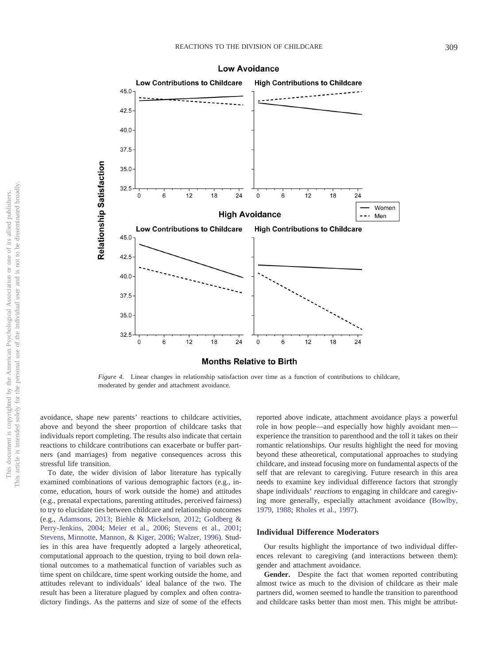

#### **Low Avoidance**

<span id="page-11-0"></span>*Figure 4.* Linear changes in relationship satisfaction over time as a function of contributions to childcare, moderated by gender and attachment avoidance.

avoidance, shape new parents' reactions to childcare activities, above and beyond the sheer proportion of childcare tasks that individuals report completing. The results also indicate that certain reactions to childcare contributions can exacerbate or buffer partners (and marriages) from negative consequences across this stressful life transition.

To date, the wider division of labor literature has typically examined combinations of various demographic factors (e.g., income, education, hours of work outside the home) and attitudes (e.g., prenatal expectations, parenting attitudes, perceived fairness) to try to elucidate ties between childcare and relationship outcomes (e.g., [Adamsons, 2013;](#page-16-13) [Biehle & Mickelson, 2012;](#page-16-14) [Goldberg &](#page-17-5) [Perry-Jenkins, 2004;](#page-17-5) [Meier et al., 2006;](#page-17-4) [Stevens et al., 2001;](#page-18-2) [Stevens, Minnotte, Mannon, & Kiger, 2006;](#page-18-14) [Walzer, 1996\)](#page-18-3). Studies in this area have frequently adopted a largely atheoretical, computational approach to the question, trying to boil down relational outcomes to a mathematical function of variables such as time spent on childcare, time spent working outside the home, and attitudes relevant to individuals' ideal balance of the two. The result has been a literature plagued by complex and often contradictory findings. As the patterns and size of some of the effects reported above indicate, attachment avoidance plays a powerful role in how people—and especially how highly avoidant men experience the transition to parenthood and the toll it takes on their romantic relationships. Our results highlight the need for moving beyond these atheoretical, computational approaches to studying childcare, and instead focusing more on fundamental aspects of the self that are relevant to caregiving. Future research in this area needs to examine key individual difference factors that strongly shape individuals' *reactions* to engaging in childcare and caregiving more generally, especially attachment avoidance [\(Bowlby,](#page-16-5) [1979,](#page-16-5) [1988;](#page-16-1) [Rholes et al., 1997\)](#page-17-12).

## **Individual Difference Moderators**

Our results highlight the importance of two individual differences relevant to caregiving (and interactions between them): gender and attachment avoidance.

**Gender.** Despite the fact that women reported contributing almost twice as much to the division of childcare as their male partners did, women seemed to handle the transition to parenthood and childcare tasks better than most men. This might be attribut-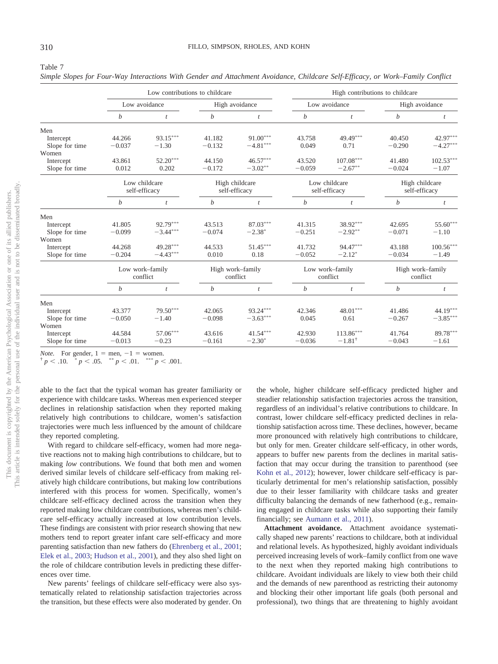<span id="page-12-0"></span>

| Simple Slopes for Four-Way Interactions With Gender and Attachment Avoidance, Childcare Self-Efficacy, or Work-Family Conflict |  |
|--------------------------------------------------------------------------------------------------------------------------------|--|
|--------------------------------------------------------------------------------------------------------------------------------|--|

|                | Low contributions to childcare |                  |                  |                  | High contributions to childcare |                   |                                 |                  |  |
|----------------|--------------------------------|------------------|------------------|------------------|---------------------------------|-------------------|---------------------------------|------------------|--|
|                | Low avoidance                  |                  | High avoidance   |                  | Low avoidance                   |                   | High avoidance                  |                  |  |
|                | b                              | $\boldsymbol{t}$ | b                | t                | b                               |                   | b                               | $\boldsymbol{t}$ |  |
| Men            |                                |                  |                  |                  |                                 |                   |                                 |                  |  |
| Intercept      | 44.266                         | $93.15***$       | 41.182           | $91.00***$       | 43.758                          | 49.49***          | 40.450                          | 42.97***         |  |
| Slope for time | $-0.037$                       | $-1.30$          | $-0.132$         | $-4.81***$       | 0.049                           | 0.71              | $-0.290$                        | $-4.27***$       |  |
| Women          |                                |                  |                  |                  |                                 |                   |                                 |                  |  |
| Intercept      | 43.861                         | $52.20***$       | 44.150           | $46.57***$       | 43.520                          | $107.08***$       | 41.480                          | $102.53***$      |  |
| Slope for time | 0.012                          | 0.202            | $-0.172$         | $-3.02**$        | $-0.059$                        | $-2.67**$         | $-0.024$                        | $-1.07$          |  |
|                |                                | Low childcare    |                  | High childcare   |                                 | Low childcare     | High childcare<br>self-efficacy |                  |  |
|                |                                | self-efficacy    |                  | self-efficacy    |                                 | self-efficacy     |                                 |                  |  |
|                | $\boldsymbol{b}$               | $\mathbf{t}$     | $\boldsymbol{b}$ | $\mathfrak{t}$   | $\boldsymbol{b}$                | $\mathfrak{t}$    | b                               | $\boldsymbol{t}$ |  |
| Men            |                                |                  |                  |                  |                                 |                   |                                 |                  |  |
| Intercept      | 41.805                         | 92.79***         | 43.513           | $87.03***$       | 41.315                          | 38.92***          | 42.695                          | 55.60***         |  |
| Slope for time | $-0.099$                       | $-3.44***$       | $-0.074$         | $-2.38*$         | $-0.251$                        | $-2.92**$         | $-0.071$                        | $-1.10$          |  |
| Women          |                                |                  |                  |                  |                                 |                   |                                 |                  |  |
| Intercept      | 44.268                         | $49.28***$       | 44.533           | $51.45***$       | 41.732                          | 94.47***          | 43.188                          | $100.56***$      |  |
| Slope for time | $-0.204$                       | $-4.43***$       | 0.010            | 0.18             | $-0.052$                        | $-2.12*$          | $-0.034$                        | $-1.49$          |  |
|                |                                | Low work-family  |                  | High work-family |                                 | Low work-family   |                                 | High work-family |  |
|                |                                | conflict         |                  | conflict         |                                 | conflict          |                                 | conflict         |  |
|                | $\boldsymbol{b}$               | $\mathfrak{t}$   | $\boldsymbol{b}$ | t                | $\boldsymbol{b}$                | t                 | $\boldsymbol{b}$                | $\mathfrak{t}$   |  |
| Men            |                                |                  |                  |                  |                                 |                   |                                 |                  |  |
| Intercept      | 43.377                         | $79.50***$       | 42.065           | $93.24***$       | 42.346                          | $48.01***$        | 41.486                          | $44.19***$       |  |
| Slope for time | $-0.050$                       | $-1.40$          | $-0.098$         | $-3.63***$       | 0.045                           | 0.61              | $-0.267$                        | $-3.85***$       |  |
| Women          |                                |                  |                  |                  |                                 |                   |                                 |                  |  |
| Intercept      | 44.584                         | $57.06***$       | 43.616           | $41.54***$       | 42.930                          | $113.86***$       | 41.764                          | 89.78***         |  |
| Slope for time | $-0.013$                       | $-0.23$          | $-0.161$         | $-2.30*$         | $-0.036$                        | $-1.81^{\dagger}$ | $-0.043$                        | $-1.61$          |  |

*Note.* For gender,  $1 =$  men,  $-1 =$ 

*Note.* For gender,  $1 = \text{men}_1 - 1 = \text{woman}$ .<br>  $\uparrow p < .10.$  \*  $p < .05.$  \*\*  $p < .01.$  \*\*\*  $p < .001.$ 

able to the fact that the typical woman has greater familiarity or experience with childcare tasks. Whereas men experienced steeper declines in relationship satisfaction when they reported making relatively high contributions to childcare, women's satisfaction trajectories were much less influenced by the amount of childcare they reported completing.

With regard to childcare self-efficacy, women had more negative reactions not to making high contributions to childcare, but to making *low* contributions. We found that both men and women derived similar levels of childcare self-efficacy from making relatively high childcare contributions, but making low contributions interfered with this process for women. Specifically, women's childcare self-efficacy declined across the transition when they reported making low childcare contributions, whereas men's childcare self-efficacy actually increased at low contribution levels. These findings are consistent with prior research showing that new mothers tend to report greater infant care self-efficacy and more parenting satisfaction than new fathers do [\(Ehrenberg et al., 2001;](#page-17-10) [Elek et al., 2003;](#page-17-14) [Hudson et al., 2001\)](#page-17-15), and they also shed light on the role of childcare contribution levels in predicting these differences over time.

New parents' feelings of childcare self-efficacy were also systematically related to relationship satisfaction trajectories across the transition, but these effects were also moderated by gender. On the whole, higher childcare self-efficacy predicted higher and steadier relationship satisfaction trajectories across the transition, regardless of an individual's relative contributions to childcare. In contrast, lower childcare self-efficacy predicted declines in relationship satisfaction across time. These declines, however, became more pronounced with relatively high contributions to childcare, but only for men. Greater childcare self-efficacy, in other words, appears to buffer new parents from the declines in marital satisfaction that may occur during the transition to parenthood (see [Kohn et al., 2012\)](#page-17-3); however, lower childcare self-efficacy is particularly detrimental for men's relationship satisfaction, possibly due to their lesser familiarity with childcare tasks and greater difficulty balancing the demands of new fatherhood (e.g., remaining engaged in childcare tasks while also supporting their family financially; see [Aumann et al., 2011\)](#page-16-4).

**Attachment avoidance.** Attachment avoidance systematically shaped new parents' reactions to childcare, both at individual and relational levels. As hypothesized, highly avoidant individuals perceived increasing levels of work–family conflict from one wave to the next when they reported making high contributions to childcare. Avoidant individuals are likely to view both their child and the demands of new parenthood as restricting their autonomy and blocking their other important life goals (both personal and professional), two things that are threatening to highly avoidant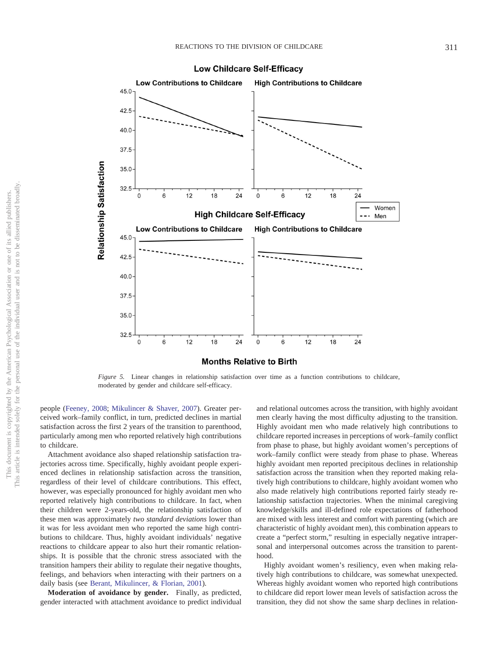

**Low Childcare Self-Efficacy** 

<span id="page-13-0"></span>*Figure 5.* Linear changes in relationship satisfaction over time as a function contributions to childcare, moderated by gender and childcare self-efficacy.

people [\(Feeney, 2008;](#page-17-22) [Mikulincer & Shaver, 2007\)](#page-17-19). Greater perceived work–family conflict, in turn, predicted declines in martial satisfaction across the first 2 years of the transition to parenthood, particularly among men who reported relatively high contributions to childcare.

Attachment avoidance also shaped relationship satisfaction trajectories across time. Specifically, highly avoidant people experienced declines in relationship satisfaction across the transition, regardless of their level of childcare contributions. This effect, however, was especially pronounced for highly avoidant men who reported relatively high contributions to childcare. In fact, when their children were 2-years-old, the relationship satisfaction of these men was approximately *two standard deviations* lower than it was for less avoidant men who reported the same high contributions to childcare. Thus, highly avoidant individuals' negative reactions to childcare appear to also hurt their romantic relationships. It is possible that the chronic stress associated with the transition hampers their ability to regulate their negative thoughts, feelings, and behaviors when interacting with their partners on a daily basis (see [Berant, Mikulincer, & Florian, 2001\)](#page-16-10).

**Moderation of avoidance by gender.** Finally, as predicted, gender interacted with attachment avoidance to predict individual

and relational outcomes across the transition, with highly avoidant men clearly having the most difficulty adjusting to the transition. Highly avoidant men who made relatively high contributions to childcare reported increases in perceptions of work–family conflict from phase to phase, but highly avoidant women's perceptions of work–family conflict were steady from phase to phase. Whereas highly avoidant men reported precipitous declines in relationship satisfaction across the transition when they reported making relatively high contributions to childcare, highly avoidant women who also made relatively high contributions reported fairly steady relationship satisfaction trajectories. When the minimal caregiving knowledge/skills and ill-defined role expectations of fatherhood are mixed with less interest and comfort with parenting (which are characteristic of highly avoidant men), this combination appears to create a "perfect storm," resulting in especially negative intrapersonal and interpersonal outcomes across the transition to parenthood.

Highly avoidant women's resiliency, even when making relatively high contributions to childcare, was somewhat unexpected. Whereas highly avoidant women who reported high contributions to childcare did report lower mean levels of satisfaction across the transition, they did not show the same sharp declines in relation-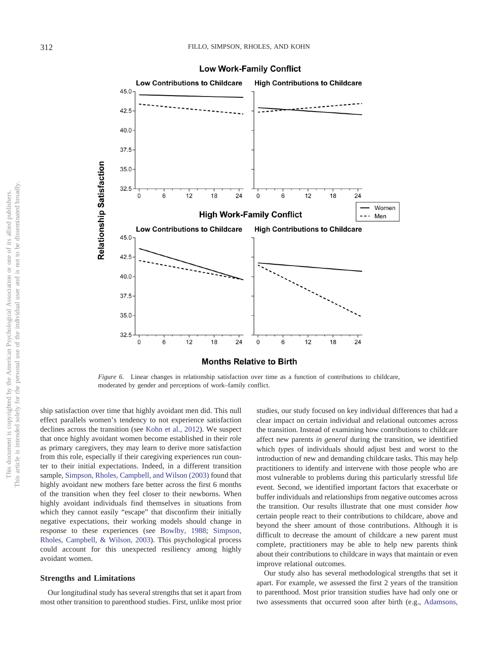

**Low Work-Family Conflict** 

<span id="page-14-0"></span>*Figure 6.* Linear changes in relationship satisfaction over time as a function of contributions to childcare, moderated by gender and perceptions of work–family conflict.

ship satisfaction over time that highly avoidant men did. This null effect parallels women's tendency to not experience satisfaction declines across the transition (see [Kohn et al., 2012\)](#page-17-3). We suspect that once highly avoidant women become established in their role as primary caregivers, they may learn to derive more satisfaction from this role, especially if their caregiving experiences run counter to their initial expectations. Indeed, in a different transition sample, [Simpson, Rholes, Campbell, and Wilson \(2003\)](#page-18-15) found that highly avoidant new mothers fare better across the first 6 months of the transition when they feel closer to their newborns. When highly avoidant individuals find themselves in situations from which they cannot easily "escape" that disconfirm their initially negative expectations, their working models should change in response to these experiences (see [Bowlby, 1988;](#page-16-1) [Simpson,](#page-18-15) [Rholes, Campbell, & Wilson, 2003\)](#page-18-15). This psychological process could account for this unexpected resiliency among highly avoidant women.

## **Strengths and Limitations**

Our longitudinal study has several strengths that set it apart from most other transition to parenthood studies. First, unlike most prior

studies, our study focused on key individual differences that had a clear impact on certain individual and relational outcomes across the transition. Instead of examining how contributions to childcare affect new parents *in general* during the transition, we identified which *types* of individuals should adjust best and worst to the introduction of new and demanding childcare tasks. This may help practitioners to identify and intervene with those people who are most vulnerable to problems during this particularly stressful life event. Second, we identified important factors that exacerbate or buffer individuals and relationships from negative outcomes across the transition. Our results illustrate that one must consider *how* certain people react to their contributions to childcare, above and beyond the sheer amount of those contributions. Although it is difficult to decrease the amount of childcare a new parent must complete, practitioners may be able to help new parents think about their contributions to childcare in ways that maintain or even improve relational outcomes.

Our study also has several methodological strengths that set it apart. For example, we assessed the first 2 years of the transition to parenthood. Most prior transition studies have had only one or two assessments that occurred soon after birth (e.g., [Adamsons,](#page-16-13)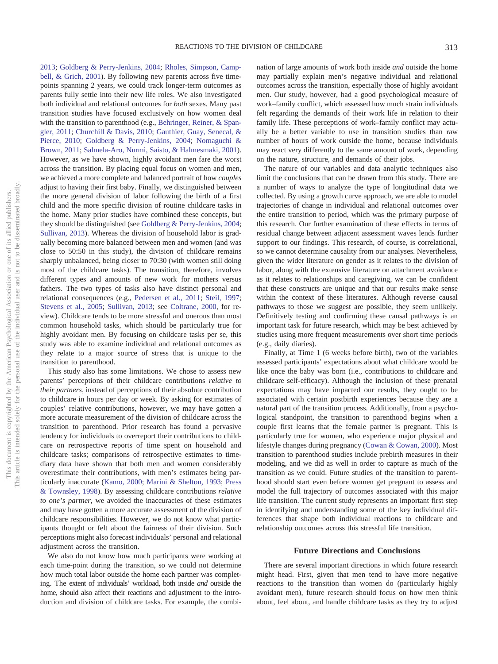[2013;](#page-16-13) [Goldberg & Perry-Jenkins, 2004;](#page-17-5) [Rholes, Simpson, Camp](#page-17-30)[bell, & Grich, 2001\)](#page-17-30). By following new parents across five timepoints spanning 2 years, we could track longer-term outcomes as parents fully settle into their new life roles. We also investigated both individual and relational outcomes for *both* sexes. Many past transition studies have focused exclusively on how women deal with the transition to parenthood (e.g., [Behringer, Reiner, & Span](#page-16-2)[gler, 2011;](#page-16-2) [Churchill & Davis, 2010;](#page-16-15) [Gauthier, Guay, Senecal, &](#page-17-31) [Pierce, 2010;](#page-17-31) [Goldberg & Perry-Jenkins, 2004;](#page-17-5) [Nomaguchi &](#page-17-6) [Brown, 2011;](#page-17-6) [Salmela-Aro, Nurmi, Saisto, & Halmesmaki, 2001\)](#page-18-16). However, as we have shown, highly avoidant men fare the worst across the transition. By placing equal focus on women and men, we achieved a more complete and balanced portrait of how *couples* adjust to having their first baby. Finally, we distinguished between the more general division of labor following the birth of a first child and the more specific division of routine childcare tasks in the home. Many prior studies have combined these concepts, but they should be distinguished (see [Goldberg & Perry-Jenkins, 2004;](#page-17-5) [Sullivan, 2013\)](#page-18-17). Whereas the division of household labor is gradually becoming more balanced between men and women (and was close to 50:50 in this study), the division of childcare remains sharply unbalanced, being closer to 70:30 (with women still doing most of the childcare tasks). The transition, therefore, involves different types and amounts of new work for mothers versus fathers. The two types of tasks also have distinct personal and relational consequences (e.g., [Pedersen et al., 2011;](#page-17-11) [Steil, 1997;](#page-18-18) [Stevens et al., 2005;](#page-18-1) [Sullivan, 2013;](#page-18-17) see [Coltrane, 2000,](#page-16-3) for review). Childcare tends to be more stressful and onerous than most common household tasks, which should be particularly true for highly avoidant men. By focusing on childcare tasks per se, this study was able to examine individual and relational outcomes as they relate to a major source of stress that is unique to the transition to parenthood.

This study also has some limitations. We chose to assess new parents' perceptions of their childcare contributions *relative to their partners*, instead of perceptions of their absolute contribution to childcare in hours per day or week. By asking for estimates of couples' relative contributions, however, we may have gotten a more accurate measurement of the division of childcare across the transition to parenthood. Prior research has found a pervasive tendency for individuals to overreport their contributions to childcare on retrospective reports of time spent on household and childcare tasks; comparisons of retrospective estimates to timediary data have shown that both men and women considerably overestimate their contributions, with men's estimates being particularly inaccurate [\(Kamo, 2000;](#page-17-32) [Marini & Shelton, 1993;](#page-17-33) [Press](#page-17-34) [& Townsley, 1998\)](#page-17-34). By assessing childcare contributions *relative to one's partner*, we avoided the inaccuracies of these estimates and may have gotten a more accurate assessment of the division of childcare responsibilities. However, we do not know what participants thought or felt about the fairness of their division. Such perceptions might also forecast individuals' personal and relational adjustment across the transition.

We also do not know how much participants were working at each time-point during the transition, so we could not determine how much total labor outside the home each partner was completing. The extent of individuals' workload, both inside *and* outside the home, should also affect their reactions and adjustment to the introduction and division of childcare tasks. For example, the combination of large amounts of work both inside *and* outside the home may partially explain men's negative individual and relational outcomes across the transition, especially those of highly avoidant men. Our study, however, had a good psychological measure of work–family conflict, which assessed how much strain individuals felt regarding the demands of their work life in relation to their family life. These perceptions of work–family conflict may actually be a better variable to use in transition studies than raw number of hours of work outside the home, because individuals may react very differently to the same amount of work, depending on the nature, structure, and demands of their jobs.

The nature of our variables and data analytic techniques also limit the conclusions that can be drawn from this study. There are a number of ways to analyze the type of longitudinal data we collected. By using a growth curve approach, we are able to model trajectories of change in individual and relational outcomes over the entire transition to period, which was the primary purpose of this research. Our further examination of these effects in terms of residual change between adjacent assessment waves lends further support to our findings. This research, of course, is correlational, so we cannot determine causality from our analyses. Nevertheless, given the wider literature on gender as it relates to the division of labor, along with the extensive literature on attachment avoidance as it relates to relationships and caregiving, we can be confident that these constructs are unique and that our results make sense within the context of these literatures. Although reverse causal pathways to those we suggest are possible, they seem unlikely. Definitively testing and confirming these causal pathways is an important task for future research, which may be best achieved by studies using more frequent measurements over short time periods (e.g., daily diaries).

Finally, at Time 1 (6 weeks before birth), two of the variables assessed participants' expectations about what childcare would be like once the baby was born (i.e., contributions to childcare and childcare self-efficacy). Although the inclusion of these prenatal expectations may have impacted our results, they ought to be associated with certain postbirth experiences because they are a natural part of the transition process. Additionally, from a psychological standpoint, the transition to parenthood begins when a couple first learns that the female partner is pregnant. This is particularly true for women, who experience major physical and lifestyle changes during pregnancy [\(Cowan & Cowan, 2000\)](#page-17-0). Most transition to parenthood studies include prebirth measures in their modeling, and we did as well in order to capture as much of the transition as we could. Future studies of the transition to parenthood should start even before women get pregnant to assess and model the full trajectory of outcomes associated with this major life transition. The current study represents an important first step in identifying and understanding some of the key individual differences that shape both individual reactions to childcare and relationship outcomes across this stressful life transition.

### **Future Directions and Conclusions**

There are several important directions in which future research might head. First, given that men tend to have more negative reactions to the transition than women do (particularly highly avoidant men), future research should focus on how men think about, feel about, and handle childcare tasks as they try to adjust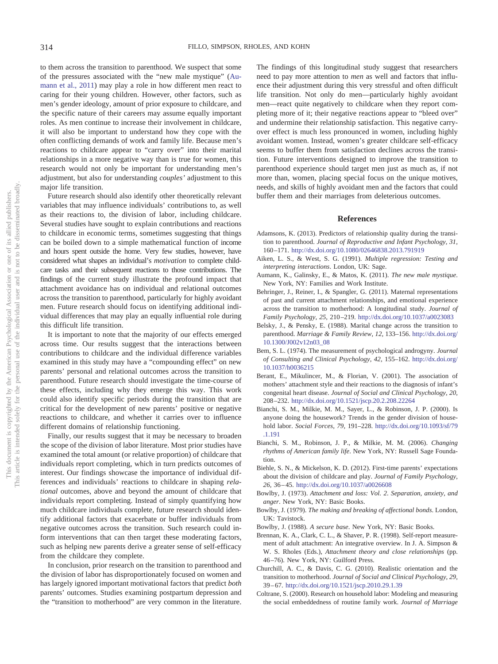to them across the transition to parenthood. We suspect that some of the pressures associated with the "new male mystique" [\(Au](#page-16-4)[mann et al., 2011\)](#page-16-4) may play a role in how different men react to caring for their young children. However, other factors, such as men's gender ideology, amount of prior exposure to childcare, and the specific nature of their careers may assume equally important roles. As men continue to increase their involvement in childcare, it will also be important to understand how they cope with the often conflicting demands of work and family life. Because men's reactions to childcare appear to "carry over" into their marital relationships in a more negative way than is true for women, this research would not only be important for understanding men's adjustment, but also for understanding *couples'* adjustment to this major life transition.

Future research should also identify other theoretically relevant variables that may influence individuals' contributions to, as well as their reactions to, the division of labor, including childcare. Several studies have sought to explain contributions and reactions to childcare in economic terms, sometimes suggesting that things can be boiled down to a simple mathematical function of income and hours spent outside the home. Very few studies, however, have considered what shapes an individual's *motivation* to complete childcare tasks and their subsequent reactions to those contributions. The findings of the current study illustrate the profound impact that attachment avoidance has on individual and relational outcomes across the transition to parenthood, particularly for highly avoidant men. Future research should focus on identifying additional individual differences that may play an equally influential role during this difficult life transition.

It is important to note that the majority of our effects emerged across time. Our results suggest that the interactions between contributions to childcare and the individual difference variables examined in this study may have a "compounding effect" on new parents' personal and relational outcomes across the transition to parenthood. Future research should investigate the time-course of these effects, including why they emerge this way. This work could also identify specific periods during the transition that are critical for the development of new parents' positive or negative reactions to childcare, and whether it carries over to influence different domains of relationship functioning.

Finally, our results suggest that it may be necessary to broaden the scope of the division of labor literature. Most prior studies have examined the total amount (or relative proportion) of childcare that individuals report completing, which in turn predicts outcomes of interest. Our findings showcase the importance of individual differences and individuals' reactions to childcare in shaping *relational* outcomes, above and beyond the amount of childcare that individuals report completing. Instead of simply quantifying how much childcare individuals complete, future research should identify additional factors that exacerbate or buffer individuals from negative outcomes across the transition. Such research could inform interventions that can then target these moderating factors, such as helping new parents derive a greater sense of self-efficacy from the childcare they complete.

In conclusion, prior research on the transition to parenthood and the division of labor has disproportionately focused on women and has largely ignored important motivational factors that predict *both* parents' outcomes. Studies examining postpartum depression and the "transition to motherhood" are very common in the literature.

The findings of this longitudinal study suggest that researchers need to pay more attention to *men* as well and factors that influence their adjustment during this very stressful and often difficult life transition. Not only do men—particularly highly avoidant men—react quite negatively to childcare when they report completing more of it; their negative reactions appear to "bleed over" and undermine their relationship satisfaction. This negative carryover effect is much less pronounced in women, including highly avoidant women. Instead, women's greater childcare self-efficacy seems to buffer them from satisfaction declines across the transition. Future interventions designed to improve the transition to parenthood experience should target men just as much as, if not more than, women, placing special focus on the unique motives, needs, and skills of highly avoidant men and the factors that could buffer them and their marriages from deleterious outcomes.

## **References**

- <span id="page-16-13"></span>Adamsons, K. (2013). Predictors of relationship quality during the transition to parenthood. *Journal of Reproductive and Infant Psychology, 31,* 160 –171. <http://dx.doi.org/10.1080/02646838.2013.791919>
- <span id="page-16-12"></span>Aiken, L. S., & West, S. G. (1991). *Multiple regression: Testing and interpreting interactions*. London, UK: Sage.
- <span id="page-16-4"></span>Aumann, K., Galinsky, E., & Matos, K. (2011). *The new male mystique*. New York, NY: Families and Work Institute.
- <span id="page-16-2"></span>Behringer, J., Reiner, I., & Spangler, G. (2011). Maternal representations of past and current attachment relationships, and emotional experience across the transition to motherhood: A longitudinal study. *Journal of Family Psychology, 25,* 210 –219. <http://dx.doi.org/10.1037/a0023083>
- <span id="page-16-0"></span>Belsky, J., & Pensky, E. (1988). Marital change across the transition to parenthood. *Marriage & Family Review, 12,* 133–156. [http://dx.doi.org/](http://dx.doi.org/10.1300/J002v12n03_08) [10.1300/J002v12n03\\_08](http://dx.doi.org/10.1300/J002v12n03_08)
- <span id="page-16-7"></span>Bem, S. L. (1974). The measurement of psychological androgyny. *Journal of Consulting and Clinical Psychology, 42,* 155–162. [http://dx.doi.org/](http://dx.doi.org/10.1037/h0036215) [10.1037/h0036215](http://dx.doi.org/10.1037/h0036215)
- <span id="page-16-10"></span>Berant, E., Mikulincer, M., & Florian, V. (2001). The association of mothers' attachment style and their reactions to the diagnosis of infant's congenital heart disease. *Journal of Social and Clinical Psychology, 20,* 208 –232. <http://dx.doi.org/10.1521/jscp.20.2.208.22264>
- <span id="page-16-6"></span>Bianchi, S. M., Milkie, M. M., Sayer, L., & Robinson, J. P. (2000). Is anyone doing the housework? Trends in the gender division of household labor. *Social Forces, 79,* 191–228. [http://dx.doi.org/10.1093/sf/79](http://dx.doi.org/10.1093/sf/79.1.191) [.1.191](http://dx.doi.org/10.1093/sf/79.1.191)
- <span id="page-16-8"></span>Bianchi, S. M., Robinson, J. P., & Milkie, M. M. (2006). *Changing rhythms of American family life*. New York, NY: Russell Sage Foundation.
- <span id="page-16-14"></span>Biehle, S. N., & Mickelson, K. D. (2012). First-time parents' expectations about the division of childcare and play. *Journal of Family Psychology, 26,* 36 – 45. <http://dx.doi.org/10.1037/a0026608>
- <span id="page-16-9"></span>Bowlby, J. (1973). *Attachment and loss: Vol. 2*. *Separation, anxiety, and anger*. New York, NY: Basic Books.
- <span id="page-16-5"></span>Bowlby, J. (1979). *The making and breaking of affectional bonds*. London, UK: Tavistock.
- <span id="page-16-11"></span><span id="page-16-1"></span>Bowlby, J. (1988). *A secure base*. New York, NY: Basic Books.
- Brennan, K. A., Clark, C. L., & Shaver, P. R. (1998). Self-report measurement of adult attachment: An integrative overview. In J. A. Simpson & W. S. Rholes (Eds.), *Attachment theory and close relationships* (pp. 46 –76). New York, NY: Guilford Press.
- <span id="page-16-15"></span>Churchill, A. C., & Davis, C. G. (2010). Realistic orientation and the transition to motherhood. *Journal of Social and Clinical Psychology, 29,* 39 – 67. <http://dx.doi.org/10.1521/jscp.2010.29.1.39>
- <span id="page-16-3"></span>Coltrane, S. (2000). Research on household labor: Modeling and measuring the social embeddedness of routine family work. *Journal of Marriage*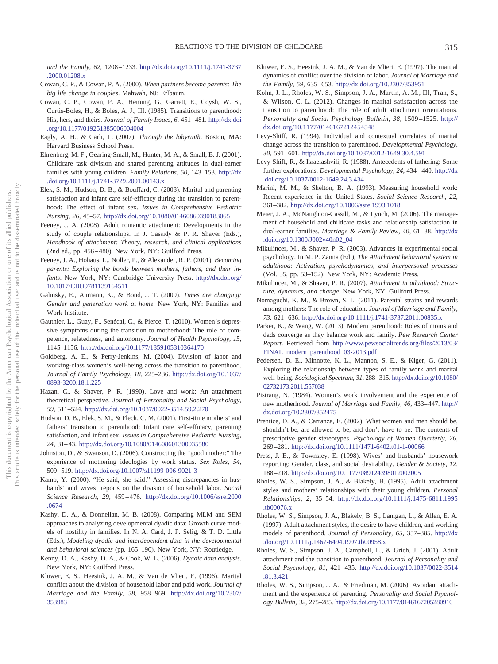*and the Family, 62,* 1208 –1233. [http://dx.doi.org/10.1111/j.1741-3737](http://dx.doi.org/10.1111/j.1741-3737.2000.01208.x) [.2000.01208.x](http://dx.doi.org/10.1111/j.1741-3737.2000.01208.x)

- <span id="page-17-0"></span>Cowan, C. P., & Cowan, P. A. (2000). *When partners become parents: The big life change in couples*. Mahwah, NJ: Erlbaum.
- <span id="page-17-2"></span>Cowan, C. P., Cowan, P. A., Heming, G., Garrett, E., Coysh, W. S., Curtis-Boles, H., & Boles, A. J., III. (1985). Transitions to parenthood: His, hers, and theirs. *Journal of Family Issues, 6,* 451– 481. [http://dx.doi](http://dx.doi.org/10.1177/019251385006004004) [.org/10.1177/019251385006004004](http://dx.doi.org/10.1177/019251385006004004)
- <span id="page-17-13"></span>Eagly, A. H., & Carli, L. (2007). *Through the labyrinth*. Boston, MA: Harvard Business School Press.
- <span id="page-17-10"></span>Ehrenberg, M. F., Gearing-Small, M., Hunter, M. A., & Small, B. J. (2001). Childcare task division and shared parenting attitudes in dual-earner families with young children. *Family Relations, 50,* 143–153. [http://dx](http://dx.doi.org/10.1111/j.1741-3729.2001.00143.x) [.doi.org/10.1111/j.1741-3729.2001.00143.x](http://dx.doi.org/10.1111/j.1741-3729.2001.00143.x)
- <span id="page-17-14"></span>Elek, S. M., Hudson, D. B., & Bouffard, C. (2003). Marital and parenting satisfaction and infant care self-efficacy during the transition to parenthood: The effect of infant sex. *Issues in Comprehensive Pediatric Nursing, 26,* 45–57. <http://dx.doi.org/10.1080/01460860390183065>
- <span id="page-17-22"></span>Feeney, J. A. (2008). Adult romantic attachment: Developments in the study of couple relationships. In J. Cassidy & P. R. Shaver (Eds.), *Handbook of attachment: Theory, research, and clinical applications* (2nd ed., pp. 456–480). New York, NY: Guilford Press.
- <span id="page-17-1"></span>Feeney, J. A., Hohaus, L., Noller, P., & Alexander, R. P. (2001). *Becoming parents: Exploring the bonds between mothers, fathers, and their infants*. New York, NY: Cambridge University Press. [http://dx.doi.org/](http://dx.doi.org/10.1017/CBO9781139164511) [10.1017/CBO9781139164511](http://dx.doi.org/10.1017/CBO9781139164511)
- <span id="page-17-16"></span>Galinsky, E., Aumann, K., & Bond, J. T. (2009). *Times are changing: Gender and generation work at home*. New York, NY: Families and Work Institute.
- <span id="page-17-31"></span>Gauthier, L., Guay, F., Senécal, C., & Pierce, T. (2010). Women's depressive symptoms during the transition to motherhood: The role of competence, relatedness, and autonomy. *Journal of Health Psychology, 15,* 1145–1156. <http://dx.doi.org/10.1177/1359105310364170>
- <span id="page-17-5"></span>Goldberg, A. E., & Perry-Jenkins, M. (2004). Division of labor and working-class women's well-being across the transition to parenthood. *Journal of Family Psychology, 18,* 225–236. [http://dx.doi.org/10.1037/](http://dx.doi.org/10.1037/0893-3200.18.1.225) [0893-3200.18.1.225](http://dx.doi.org/10.1037/0893-3200.18.1.225)
- <span id="page-17-23"></span>Hazan, C., & Shaver, P. R. (1990). Love and work: An attachment theoretical perspective. *Journal of Personality and Social Psychology, 59,* 511–524. <http://dx.doi.org/10.1037/0022-3514.59.2.270>
- <span id="page-17-15"></span>Hudson, D. B., Elek, S. M., & Fleck, C. M. (2001). First-time mothers' and fathers' transition to parenthood: Infant care self-efficacy, parenting satisfaction, and infant sex. *Issues in Comprehensive Pediatric Nursing, 24,* 31– 43. <http://dx.doi.org/10.1080/014608601300035580>
- <span id="page-17-24"></span>Johnston, D., & Swanson, D. (2006). Constructing the "good mother:" The experience of mothering ideologies by work status. *Sex Roles, 54,* 509 –519. <http://dx.doi.org/10.1007/s11199-006-9021-3>
- <span id="page-17-32"></span>Kamo, Y. (2000). "He said, she said:" Assessing discrepancies in husbands' and wives' reports on the division of household labor. *Social Science Research, 29,* 459 – 476. [http://dx.doi.org/10.1006/ssre.2000](http://dx.doi.org/10.1006/ssre.2000.0674) [.0674](http://dx.doi.org/10.1006/ssre.2000.0674)
- <span id="page-17-29"></span>Kashy, D. A., & Donnellan, M. B. (2008). Comparing MLM and SEM approaches to analyzing developmental dyadic data: Growth curve models of hostility in families. In N. A. Card, J. P. Selig, & T. D. Little (Eds.), *Modeling dyadic and interdependent data in the developmental and behavioral sciences* (pp. 165–190). New York, NY: Routledge.
- <span id="page-17-28"></span>Kenny, D. A., Kashy, D. A., & Cook, W. L. (2006). *Dyadic data analysis*. New York, NY: Guilford Press.
- <span id="page-17-8"></span>Kluwer, E. S., Heesink, J. A. M., & Van de Vliert, E. (1996). Marital conflict about the division of household labor and paid work. *Journal of Marriage and the Family, 58,* 958 –969. [http://dx.doi.org/10.2307/](http://dx.doi.org/10.2307/353983) [353983](http://dx.doi.org/10.2307/353983)
- <span id="page-17-9"></span>Kluwer, E. S., Heesink, J. A. M., & Van de Vliert, E. (1997). The martial dynamics of conflict over the division of labor. *Journal of Marriage and the Family, 59,* 635– 653. <http://dx.doi.org/10.2307/353951>
- <span id="page-17-3"></span>Kohn, J. L., Rholes, W. S., Simpson, J. A., Martin, A. M., III, Tran, S., & Wilson, C. L. (2012). Changes in marital satisfaction across the transition to parenthood: The role of adult attachment orientations. *Personality and Social Psychology Bulletin, 38,* 1509 –1525. [http://](http://dx.doi.org/10.1177/0146167212454548) [dx.doi.org/10.1177/0146167212454548](http://dx.doi.org/10.1177/0146167212454548)
- <span id="page-17-25"></span>Levy-Shiff, R. (1994). Individual and contextual correlates of marital change across the transition to parenthood. *Developmental Psychology, 30,* 591– 601. <http://dx.doi.org/10.1037/0012-1649.30.4.591>
- <span id="page-17-26"></span>Levy-Shiff, R., & Israelashvili, R. (1988). Antecedents of fathering: Some further explorations. *Developmental Psychology, 24,* 434 – 440. [http://dx](http://dx.doi.org/10.1037/0012-1649.24.3.434) [.doi.org/10.1037/0012-1649.24.3.434](http://dx.doi.org/10.1037/0012-1649.24.3.434)
- <span id="page-17-33"></span>Marini, M. M., & Shelton, B. A. (1993). Measuring household work: Recent experience in the United States. *Social Science Research, 22,* 361–382. <http://dx.doi.org/10.1006/ssre.1993.1018>
- <span id="page-17-4"></span>Meier, J. A., McNaughton-Cassill, M., & Lynch, M. (2006). The management of household and childcare tasks and relationship satisfaction in dual-earner families. *Marriage & Family Review, 40,* 61– 88. [http://dx](http://dx.doi.org/10.1300/J002v40n02_04) [.doi.org/10.1300/J002v40n02\\_04](http://dx.doi.org/10.1300/J002v40n02_04)
- <span id="page-17-18"></span>Mikulincer, M., & Shaver, P. R. (2003). Advances in experimental social psychology. In M. P. Zanna (Ed.), *The Attachment behavioral system in adulthood: Activation, psychodynamics, and interpersonal processes* (Vol. 35, pp. 53–152). New York, NY: Academic Press.
- <span id="page-17-19"></span>Mikulincer, M., & Shaver, P. R. (2007). *Attachment in adulthood: Structure, dynamics, and change*. New York, NY: Guilford Press.
- <span id="page-17-6"></span>Nomaguchi, K. M., & Brown, S. L. (2011). Parental strains and rewards among mothers: The role of education. *Journal of Marriage and Family, 73,* 621– 636. <http://dx.doi.org/10.1111/j.1741-3737.2011.00835.x>
- <span id="page-17-7"></span>Parker, K., & Wang, W. (2013). Modern parenthood: Roles of moms and dads converge as they balance work and family. *Pew Research Center Report*. Retrieved from [http://www.pewsocialtrends.org/files/2013/03/](http://www.pewsocialtrends.org/files/2013/03/FINAL_modern_parenthood_03-2013.pdf) [FINAL\\_modern\\_parenthood\\_03-2013.pdf](http://www.pewsocialtrends.org/files/2013/03/FINAL_modern_parenthood_03-2013.pdf)
- <span id="page-17-11"></span>Pedersen, D. E., Minnotte, K. L., Mannon, S. E., & Kiger, G. (2011). Exploring the relationship between types of family work and marital well-being. *Sociological Spectrum, 31,* 288 –315. [http://dx.doi.org/10.1080/](http://dx.doi.org/10.1080/02732173.2011.557038) [02732173.2011.557038](http://dx.doi.org/10.1080/02732173.2011.557038)
- <span id="page-17-27"></span>Pistrang, N. (1984). Women's work involvement and the experience of new motherhood. *Journal of Marriage and Family, 46,* 433– 447. [http://](http://dx.doi.org/10.2307/352475) [dx.doi.org/10.2307/352475](http://dx.doi.org/10.2307/352475)
- <span id="page-17-17"></span>Prentice, D. A., & Carranza, E. (2002). What women and men should be, shouldn't be, are allowed to be, and don't have to be: The contents of prescriptive gender stereotypes. *Psychology of Women Quarterly, 26,* 269 –281. <http://dx.doi.org/10.1111/1471-6402.t01-1-00066>
- <span id="page-17-34"></span>Press, J. E., & Townsley, E. (1998). Wives' and husbands' housework reporting: Gender, class, and social desirability. *Gender & Society, 12,* 188 –218. <http://dx.doi.org/10.1177/089124398012002005>
- <span id="page-17-21"></span>Rholes, W. S., Simpson, J. A., & Blakely, B. (1995). Adult attachment styles and mothers' relationships with their young children. *Personal Relationships, 2,* 35–54. [http://dx.doi.org/10.1111/j.1475-6811.1995](http://dx.doi.org/10.1111/j.1475-6811.1995.tb00076.x) [.tb00076.x](http://dx.doi.org/10.1111/j.1475-6811.1995.tb00076.x)
- <span id="page-17-12"></span>Rholes, W. S., Simpson, J. A., Blakely, B. S., Lanigan, L., & Allen, E. A. (1997). Adult attachment styles, the desire to have children, and working models of parenthood. *Journal of Personality, 65,* 357–385. [http://dx](http://dx.doi.org/10.1111/j.1467-6494.1997.tb00958.x) [.doi.org/10.1111/j.1467-6494.1997.tb00958.x](http://dx.doi.org/10.1111/j.1467-6494.1997.tb00958.x)
- <span id="page-17-30"></span>Rholes, W. S., Simpson, J. A., Campbell, L., & Grich, J. (2001). Adult attachment and the transition to parenthood. *Journal of Personality and Social Psychology, 81,* 421– 435. [http://dx.doi.org/10.1037/0022-3514](http://dx.doi.org/10.1037/0022-3514.81.3.421) [.81.3.421](http://dx.doi.org/10.1037/0022-3514.81.3.421)
- <span id="page-17-20"></span>Rholes, W. S., Simpson, J. A., & Friedman, M. (2006). Avoidant attachment and the experience of parenting. *Personality and Social Psychology Bulletin, 32,* 275–285. <http://dx.doi.org/10.1177/0146167205280910>